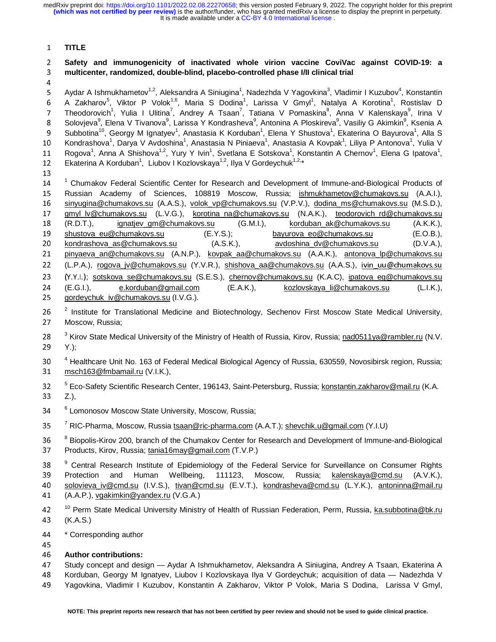#### <sup>1</sup>**TITLE**

# <sup>2</sup>**Safety and immunogenicity of inactivated whole virion vaccine CoviVac against COVID-19: a**  <sup>3</sup>**multicenter, randomized, double-blind, placebo-controlled phase I/II clinical trial**

5 Aydar A Ishmukhametov<sup>1,2</sup>, Aleksandra A Siniugina<sup>1</sup>, Nadezhda V Yagovkina<sup>3</sup> 5 Aydar A Ishmukhametov<sup>1,2</sup>, Aleksandra A Siniugina<sup>1</sup>, Nadezhda V Yagovkina<sup>3</sup>, Vladimir I Kuzubov<sup>4</sup>, Konstantin<br>6 A Zakharov<sup>5</sup>, Viktor P Volok<sup>1,6</sup>, Maria S Dodina<sup>1</sup>, Larissa V Gmyl<sup>1</sup>, Natalya A Korotina<sup>1</sup>, Rostisl 7 Theodorovich<sup>1</sup>, Yulia I Ulitina<sup>7</sup>, Andrey A Tsaan<sup>7</sup>, Tatiana V Pomaskina<sup>8</sup>, Anna V Kalenskaya<sup>9</sup>, Irina V<br>8 Selssinus<sup>9</sup> Flase V Timpeus<sup>9</sup> Latinea V Kandreshaus<sup>9</sup> Antarias A Plashinus<sup>9</sup> Vasiliu C Aliterbir<sup>9</sup> Kand 8 Solovjeva<sup>9</sup>, Elena V Tivanova<sup>9</sup>, Larissa Y Kondrasheva<sup>9</sup>, Antonina A Ploskireva<sup>9</sup>, Vasiliy G Akimkin<sup>9</sup>, Ksenia A<br>9 Nikhotina<sup>10</sup> Gooray M Japatyov<sup>1</sup>, Apastasia K Korduban<sup>1</sup>, Elena X Shustova<sup>1</sup>, Ekatorina O Bayuro Subbotina<sup>10</sup>, Georgy M Ignatyev<sup>1</sup>, Anastasia K Korduban<sup>1</sup>, Elena Y Shustova<sup>1</sup>, Ekaterina O Bayurova<sup>1</sup>, Alla S<br>Anastasia keeskaal Dema V Anderkies<sup>1</sup>, Assatssis N Distance<sup>1</sup>, Assatssis A Keemal J Tire D Astronood, Yel 10 Kondrashova<sup>1</sup>, Darya V Avdoshina<sup>1</sup>, Anastasia N Piniaeva<sup>1</sup>, Anastasia A Kovpak<sup>1</sup>, Liliya P Antonova<sup>1</sup>, Yulia V<br>11. Daryan<sup>1</sup>, Ango A Shishaya<sup>12</sup>, Yuna V kita<sup>1</sup>, Syatlana E Satalaya<sup>1</sup>, Kanatastin A Shamay<sup>1</sup>, Ela 11 Rogova<sup>1</sup>, Anna A Shishova<sup>1,2</sup>, Yury Y Ivin<sup>1</sup>, Svetlana E Sotskova<sup>1</sup>, Konstantin A Chernov<sup>1</sup>, Elena G Ipatova<sup>1</sup>,<br>12. Eletteriae A Kartkhar<sup>1</sup>, Lithau Karlaughaus<sup>1,2</sup>, Iku V Cardaughubi<sup>1,2</sup>\* 12 Ekaterina A Korduban<sup>1</sup>, Liubov I Kozlovskaya<sup>1,2</sup>, Ilya V Gordeychuk<sup>1,2,</sup>\*

13 <sup>1</sup> <sup>1</sup> Chumakov Federal Scientific Center for Research and Development of Immune-and-Biological Products of<br>15 Russian Academy of Sciences, 108819 Moscow, Russia; ishmukhametov@chumakovs.su (A.A.I.), 15 Russian Academy of Sciences, 108819 Moscow, Russia; <u>ishmukhametov@chumakovs.su</u> (A.A.I.), 16 sinvuqina@chumakovs.su (A.A.S.), iyolok vp@chumakovs.su (A.A.S.). 16 s<u>inyugina@chumakovs.su</u> (A.A.S.), <u>volok\_vp@chumakovs.su</u> (V.P.V.), <u>dodina\_ms@chumakovs.su</u> (M.S.D.),<br>17 omvl lv@chumakovs.su (L.V.G.), korotina na@chumakovs.su (N.A.K.), teodorovich rd@chumakovs.su 17 <u>gmyl\_lv@chumakovs.su</u> (L.V.G.), <u>korotina\_na@chumakovs.su</u> (N.A.K.), <u>teodorovich\_rd@chumakovs.su</u><br>18 (R.D.T.), ignatjev\_gm@chumakovs.su (G.M.I.), korduban\_ak@chumakovs.su (A.K.K.), 18 (R.D.T.), ignatjev\_gm@chumakovs.su (G.M.I.), korduban\_ak@chumakovs.su (A.K.K.),<br>19 shustova\_eu@chumakovs.su (E.Y.S.); bayurova\_eo@chumakovs.su (E.O.B.), 19 <u>shustova eu@chumakovs.su</u> (E.Y.S.); bayurova eo@chumakovs.su (E.O.B.),<br>10 kondrashova as@chumakovs.su (A.S.K.), avdoshina dv@chumakovs.su (D.V.A.), 20kondrashova\_as@chumakovs.su (A.S.K.), avdoshina\_dv@chumakovs.su (D.V.A.), 21 minus over 20 minus over 20 minus over 20 minus over 20 minus over 20 minus over 20 minus over 20 minus over 20 minus over 20 minus over 20 min <sup>21</sup>pinyaeva\_an@chumakovs.su (A.N.P.), kovpak\_aa@chumakovs.su (A.A.K.), antonova\_lp@chumakovs.su 22 (L.P.A.), <u>rogova\_jv@chumakovs.su</u> (Y.V.R.), <u>shishova\_aa@chumakovs.su</u> (A.A.S.), <u>ivin\_uu@chumakovs.su</u><br>23 (Y.Y.I.): sotskova se@chumakovs.su (S.E.S.), chernov@chumakovs.su (K.A.C), ipatova eq@chumakovs.su 23 (Y.Y.I.); <u>sotskova\_se@chumakovs.su</u> (S.E.S.), <u>chernov@chumakovs.su</u> (K.A.C), <u>ipatova\_eg@chumakovs.su</u><br>24 (E.G.I.), e.korduban@gmail.com (E.A.K.), kozlovskava li@chumakovs.su (L.I.K.), 24 (E.G.I.), e.korduban@gmail.com (E.A.K.), kozlovskaya\_li@chumakovs.su (E.G.I.), cordevchuk iv@chumakovs.su (I.V.G.), gordeychuk\_iv@chumakovs.su (I.V.G.).

26<sup>2</sup> Institute for Translational Medicine and Biotechnology, Sechenov First Moscow State Medical University, 27 Moscow, Russia;

- <sup>3</sup> Kirov State Medical University of the Ministry of Health of Russia, Kirov, Russia; nad0511ya@rambler.ru (N.V.<br>29. X.V. 29 Y.);
- 30<sup>4</sup> Healthcare Unit No. 163 of Federal Medical Biological Agency of Russia, 630559, Novosibirsk region, Russia;<br>21. maab469@frahamail.w. (VUK) 31 msch163@fmbamail.ru (V.I.K.),
- 5 <sup>32</sup>Eco-Safety Scientific Research Center, 196143, Saint-Petersburg, Russia; konstantin.zakharov@mail.ru (K.A. 33 Z.),
- <sup>6</sup> Lomonosov Moscow State University, Moscow, Russia;
- 35 <sup>7</sup> RIC-Pharma, Moscow, Russia <u>tsaan@ric-pharma.com</u> (A.A.T.); <u>shevchik.u@gmail.com</u> (Y.I.U)
- 8 <sup>8</sup> Biopolis-Kirov 200, branch of the Chumakov Center for Research and Development of Immune-and-Biological<br>27 Predicts Kirov Pussia taxied Crosu® wasil som (T.V.D.) 37 Products, Kirov, Russia; tania16may@gmail.com (T.V.P.)

<sup>9</sup> Central Research Institute of Epidemiology of the Federal Service for Surveillance on Consumer Rights<br>20 Destactive and Uluman Wellhairs, 444499, Macauu, Russia, Islandians@end.sur. (AVIX) 39 Protection and Human Wellbeing, 111123, Moscow, Russia; <u>kalenskaya@cmd.su</u> (A.V.K.),<br>49 Esterinas in@cord.com/LV.Q.), tines@cord.com/E.V.T.), teacherskape@cord.com/LV.K.), esterinas@cord.com 40 solovieva\_iv@cmd.su (I.V.S.), tivan@cmd.su (E.V.T.), kondrasheva@cmd.su (L.Y.K.), antoninna@mail.ru<br>41 (A.A.B.) vaakimkin@vaadev.su (V.C.A.) 41 (A.A.P.), vgakimkin@yandex.ru (V.G.A.)

- 10 Perm State Medical University Ministry of Health of Russian Federation, Perm, Russia, ka.subbotina@bk.ru<br>43 (KAS) <sup>43</sup>(K.A.S.)
- 44 \* Corresponding author<br>45
- 

#### 45 <sup>46</sup>**Author contributions:**

47 Study concept and design — Aydar A Ishmukhametov, Aleksandra A Siniugina, Andrey A Tsaan, Ekaterina A<br>48 Korduban, Georgy M Ignatyev, Liubov I Kozlovskaya Ilya V Gordeychuk; acquisition of data — Nadezhda V

- 48 Korduban, Georgy M Ignatyev, Liubov I Kozlovskaya Ilya V Gordeychuk; acquisition of data Nadezhda V<br>49 Yagovkina, Vladimir I Kuzubov, Konstantin A Zakharov, Viktor P Volok, Maria S Dodina, Larissa V Gmvl,
- <sup>49</sup>Yagovkina, Vladimir I Kuzubov, Konstantin A Zakharov, Viktor P Volok, Maria S Dodina, Larissa V Gmyl,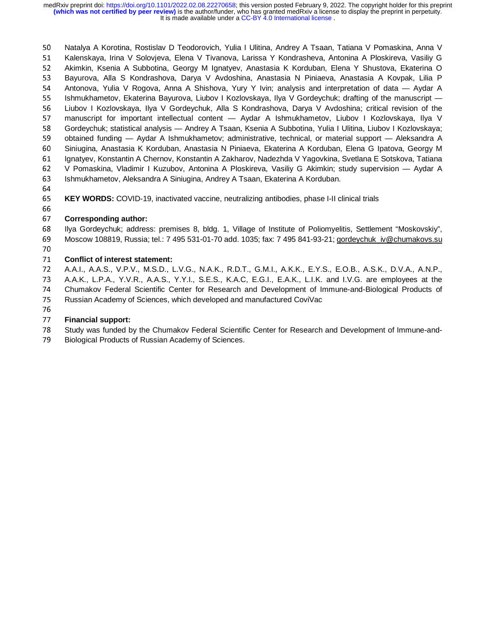It is made available under a CC-BY 4.0 International license. **(which was not certified by peer review)** is the author/funder, who has granted medRxiv a license to display the preprint in perpetuity. medRxiv preprint doi: [https://doi.org/10.1101/2022.02.08.22270658;](https://doi.org/10.1101/2022.02.08.22270658) this version posted February 9, 2022. The copyright holder for this preprint

50 Natalya A Korotina, Rostislav D Teodorovich, Yulia I Ulitina, Andrey A Tsaan, Tatiana V Pomaskina, Anna V<br>51 Nalenskaya, Irina V Solovieva, Elena V Tivanova, Larissa Y Kondrasheva, Antonina A Ploskireva, Vasiliy G 51 Kalenskaya, Irina V Solovjeva, Elena V Tivanova, Larissa Y Kondrasheva, Antonina A Ploskireva, Vasiliy G<br>52 Akimkin, Ksenia A Subbotina, Georgy M Ignatyev, Anastasia K Korduban, Elena Y Shustova, Ekaterina O 52 Akimkin, Ksenia A Subbotina, Georgy M Ignatyev, Anastasia K Korduban, Elena Y Shustova, Ekaterina O<br>53 Bayurova, Alla S Kondrashova, Darya V Avdoshina, Anastasia N Piniaeva, Anastasia A Kovpak, Lilia P 53 Bayurova, Alla S Kondrashova, Darya V Avdoshina, Anastasia N Piniaeva, Anastasia A Kovpak, Lilia P<br>54 Antonova. Yulia V Rogova. Anna A Shishova. Yurv Y Ivin: analysis and interpretation of data — Avdar A 54 Antonova, Yulia V Rogova, Anna A Shishova, Yury Y Ivin; analysis and interpretation of data — Aydar A<br>55 Ishmukhametov, Ekaterina Bayurova, Liubov I Kozlovskaya, Ilya V Gordeychuk; drafting of the manuscript — 55 Ishmukhametov, Ekaterina Bayurova, Liubov I Kozlovskaya, Ilya V Gordeychuk; drafting of the manuscript —<br>56 IL Liubov I Kozlovskaya, Ilya V Gordeychuk, Alla S Kondrashova, Darya V Avdoshina; critical revision of the 56 Liubov I Kozlovskaya, Ilya V Gordeychuk, Alla S Kondrashova, Darya V Avdoshina; critical revision of the<br>57 manuscript for important intellectual content — Avdar A Ishmukhametov. Liubov I Kozlovskava. Ilva V 57 manuscript for important intellectual content — Aydar A Ishmukhametov, Liubov I Kozlovskaya, Ilya V<br>58 Gordevchuk: statistical analvsis — Andrev A Tsaan. Ksenia A Subbotina. Yulia I Ulitina. Liubov I Kozlovskava: 58 Gordeychuk; statistical analysis — Andrey A Tsaan, Ksenia A Subbotina, Yulia I Ulitina, Liubov I Kozlovskaya;<br>59 obtained funding — Aydar A Ishmukhametov; administrative, technical, or material support — Aleksandra A 59 obtained funding — Aydar A Ishmukhametov; administrative, technical, or material support — Aleksandra A<br>60 Siniugina, Anastasia K Korduban, Anastasia N Piniaeva, Ekaterina A Korduban, Elena G Ipatova, Georgy M 60 Siniugina, Anastasia K Korduban, Anastasia N Piniaeva, Ekaterina A Korduban, Elena G Ipatova, Georgy M<br>61 Nanatvev, Konstantin A Chernov, Konstantin A Zakharov, Nadezhda V Yagovkina, Svetlana E Sotskova, Tatiana 61 Ignatyev, Konstantin A Chernov, Konstantin A Zakharov, Nadezhda V Yagovkina, Svetlana E Sotskova, Tatiana<br>62 V Pomaskina, Vladimir I Kuzubov, Antonina A Ploskireva, Vasiliy G Akimkin; study supervision — Aydar A 62 V Pomaskina, Vladimir I Kuzubov, Antonina A Ploskireva, Vasiliy G Akimkin; study supervision — Aydar A<br>63 Ishmukhametov, Aleksandra A Siniugina, Andrey A Tsaan, Ekaterina A Korduban. 63 Ishmukhametov, Aleksandra A Siniugina, Andrey A Tsaan, Ekaterina A Korduban.<br>64

65 <sup>65</sup>**KEY WORDS:** COVID-19, inactivated vaccine, neutralizing antibodies, phase I-II clinical trials

#### 67 <sup>67</sup>**Corresponding author:**

68 Ilya Gordeychuk; address: premises 8, bldg. 1, Village of Institute of Poliomyelitis, Settlement "Moskovskiy",<br>69 Moscow 108819, Russia; tel.: 7 495 531-01-70 add. 1035; fax: 7 495 841-93-21; gordeychuk iv@chumakovs.su 69 Moscow 108819, Russia; tel.: 7 495 531-01-70 add. 1035; fax: 7 495 841-93-21; <u>gordeychuk\_iv@chumakovs.su</u><br>70

#### 71 71 **Conflict of interest statement:**<br>72 A.A.I., A.A.S., V.P.V., M.S.D., I

72 A.A.I., A.A.S., V.P.V., M.S.D., L.V.G., N.A.K., R.D.T., G.M.I., A.K.K., E.Y.S., E.O.B., A.S.K., D.V.A., A.N.P.,<br>73 A.A.K., L.P.A., Y.V.R., A.A.S., Y.Y.I., S.E.S., K.A.C, E.G.I., E.A.K., L.I.K. and I.V.G. are emp 73 A.A.K., L.P.A., Y.V.R., A.A.S., Y.Y.I., S.E.S., K.A.C, E.G.I., E.A.K., L.I.K. and I.V.G. are employees at the<br>74 Chumakov Federal Scientific Center for Research and Development of Immune-and-Biological Products of 74 Chumakov Federal Scientific Center for Research and Development of Immune-and-Biological Products of 75<br>75 Russian Academy of Sciences, which developed and manufactured CoviVac 75 Russian Academy of Sciences, which developed and manufactured CoviVac<br>76

#### 77 77 **Financial support:**<br>78 Study was funded b

78 Study was funded by the Chumakov Federal Scientific Center for Research and Development of Immune-and-<br>79 Biological Products of Russian Academy of Sciences.

Biological Products of Russian Academy of Sciences.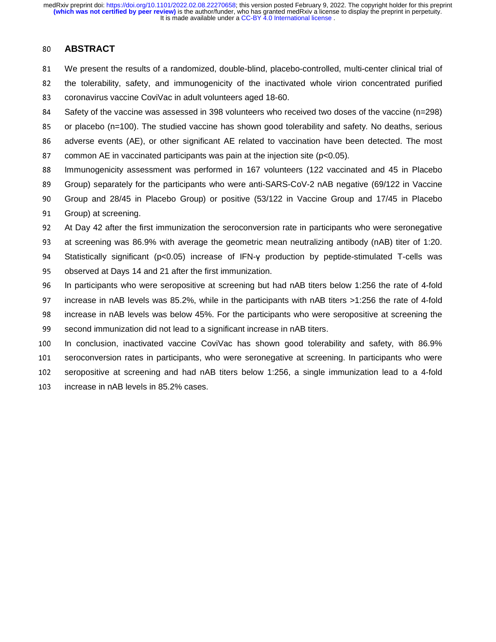## <sup>80</sup>**ABSTRACT**

- <sup>81</sup>We present the results of a randomized, double-blind, placebo-controlled, multi-center clinical trial of 82 the tolerability, safety, and immunogenicity of the inactivated whole virion concentrated purified 83 coronavirus vaccine CoviVac in adult volunteers aged 18-60.
- 84 Safety of the vaccine was assessed in 398 volunteers who received two doses of the vaccine (n=298)
- 85 or placebo (n=100). The studied vaccine has shown good tolerability and safety. No deaths, serious 86 adverse events (AE), or other significant AE related to vaccination have been detected. The most
- 87 common AE in vaccinated participants was pain at the injection site ( $p<0.05$ ).
- 88 Immunogenicity assessment was performed in 167 volunteers (122 vaccinated and 45 in Placebo <sup>89</sup>Group) separately for the participants who were anti-SARS-CoV-2 nAB negative (69/122 in Vaccine <sup>90</sup>Group and 28/45 in Placebo Group) or positive (53/122 in Vaccine Group and 17/45 in Placebo
- 91 Group) at screening.
- 92 At Day 42 after the first immunization the seroconversion rate in participants who were seronegative
- 93 at screening was 86.9% with average the geometric mean neutralizing antibody (nAB) titer of 1:20.
- 94 Statistically significant (p<0.05) increase of IFN-γ production by peptide-stimulated T-cells was 95 observed at Days 14 and 21 after the first immunization.
- 96 In participants who were seropositive at screening but had nAB titers below 1:256 the rate of 4-fold 97 increase in nAB levels was 85.2%, while in the participants with nAB titers >1:256 the rate of 4-fold 98 increase in nAB levels was below 45%. For the participants who were seropositive at screening the
- 99 second immunization did not lead to a significant increase in nAB titers.
- 100 In conclusion, inactivated vaccine CoviVac has shown good tolerability and safety, with 86.9% 101 seroconversion rates in participants, who were seronegative at screening. In participants who were
- 102 seropositive at screening and had nAB titers below 1:256, a single immunization lead to a 4-fold
- 103 increase in nAB levels in 85.2% cases.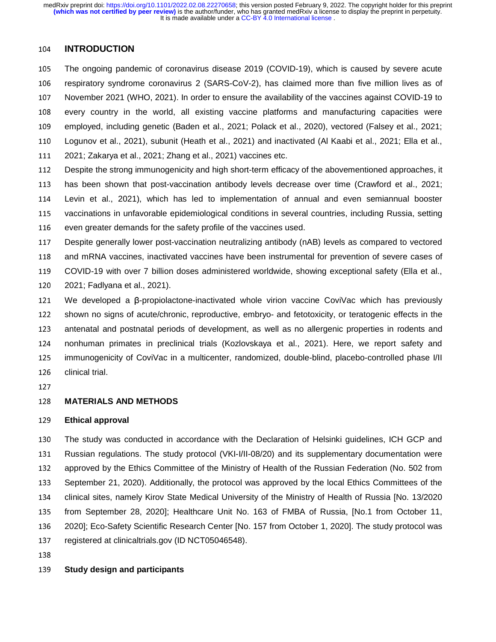## <sup>104</sup>**INTRODUCTION**

<sup>105</sup>The ongoing pandemic of coronavirus disease 2019 (COVID-19), which is caused by severe acute 106 respiratory syndrome coronavirus 2 (SARS-CoV-2), has claimed more than five million lives as of 107 November 2021 (WHO, 2021). In order to ensure the availability of the vaccines against COVID-19 to 108 every country in the world, all existing vaccine platforms and manufacturing capacities were 109 employed, including genetic (Baden et al., 2021; Polack et al., 2020), vectored (Falsey et al., 2021; <sup>110</sup>Logunov et al., 2021), subunit (Heath et al., 2021) and inactivated (Al Kaabi et al., 2021; Ella et al., <sup>111</sup>2021; Zakarya et al., 2021; Zhang et al., 2021) vaccines etc.

112 Despite the strong immunogenicity and high short-term efficacy of the abovementioned approaches, it

113 has been shown that post-vaccination antibody levels decrease over time (Crawford et al., 2021;

<sup>114</sup>Levin et al., 2021), which has led to implementation of annual and even semiannual booster

115 vaccinations in unfavorable epidemiological conditions in several countries, including Russia, setting

116 even greater demands for the safety profile of the vaccines used.

<sup>117</sup>Despite generally lower post-vaccination neutralizing antibody (nAB) levels as compared to vectored 118 and mRNA vaccines, inactivated vaccines have been instrumental for prevention of severe cases of <sup>119</sup>COVID-19 with over 7 billion doses administered worldwide, showing exceptional safety (Ella et al., 120 2021; Fadlyana et al., 2021).

<sup>121</sup>We developed a β-propiolactone-inactivated whole virion vaccine CoviVac which has previously 122 shown no signs of acute/chronic, reproductive, embryo- and fetotoxicity, or teratogenic effects in the 123 antenatal and postnatal periods of development, as well as no allergenic properties in rodents and 124 nonhuman primates in preclinical trials (Kozlovskaya et al., 2021). Here, we report safety and 125 immunogenicity of CoviVac in a multicenter, randomized, double-blind, placebo-controlled phase I/II 126 clinical trial.

127

#### <sup>128</sup>**MATERIALS AND METHODS**

#### <sup>129</sup>**Ethical approval**

130 The study was conducted in accordance with the Declaration of Helsinki guidelines, ICH GCP and 131 Russian regulations. The study protocol (VKI-I/II-08/20) and its supplementary documentation were 132 approved by the Ethics Committee of the Ministry of Health of the Russian Federation (No. 502 from 133 September 21, 2020). Additionally, the protocol was approved by the local Ethics Committees of the 134 clinical sites, namely Kirov State Medical University of the Ministry of Health of Russia [No. 13/2020 135 from September 28, 2020]; Healthcare Unit No. 163 of FMBA of Russia, [No.1 from October 11, 136 2020]; Eco-Safety Scientific Research Center [No. 157 from October 1, 2020]. The study protocol was 137 registered at clinicaltrials.gov (ID NCT05046548).

138

### <sup>139</sup>**Study design and participants**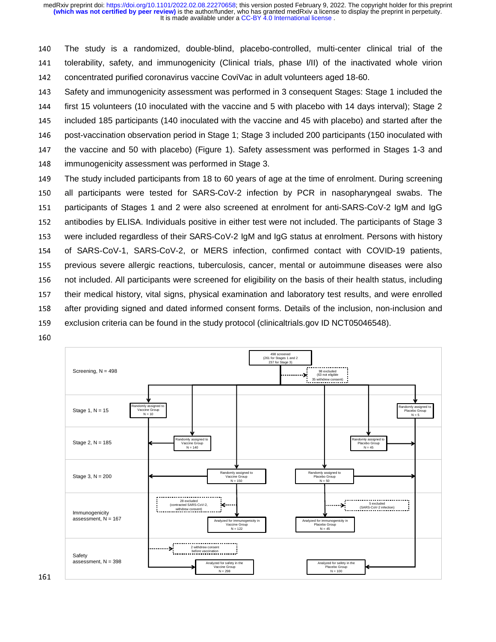It is made available under a CC-BY 4.0 International license. **(which was not certified by peer review)** is the author/funder, who has granted medRxiv a license to display the preprint in perpetuity. medRxiv preprint doi: [https://doi.org/10.1101/2022.02.08.22270658;](https://doi.org/10.1101/2022.02.08.22270658) this version posted February 9, 2022. The copyright holder for this preprint

<sup>140</sup>The study is a randomized, double-blind, placebo-controlled, multi-center clinical trial of the 141 tolerability, safety, and immunogenicity (Clinical trials, phase I/II) of the inactivated whole virion 142 concentrated purified coronavirus vaccine CoviVac in adult volunteers aged 18-60.

143 Safety and immunogenicity assessment was performed in 3 consequent Stages: Stage 1 included the 144 first 15 volunteers (10 inoculated with the vaccine and 5 with placebo with 14 days interval); Stage 2 145 included 185 participants (140 inoculated with the vaccine and 45 with placebo) and started after the 146 post-vaccination observation period in Stage 1; Stage 3 included 200 participants (150 inoculated with 147 the vaccine and 50 with placebo) (Figure 1). Safety assessment was performed in Stages 1-3 and 148 immunogenicity assessment was performed in Stage 3.

- <sup>149</sup>The study included participants from 18 to 60 years of age at the time of enrolment. During screening 150 all participants were tested for SARS-CoV-2 infection by PCR in nasopharyngeal swabs. The 151 participants of Stages 1 and 2 were also screened at enrolment for anti-SARS-CoV-2 IgM and IgG 152 antibodies by ELISA. Individuals positive in either test were not included. The participants of Stage 3 153 were included regardless of their SARS-CoV-2 IgM and IgG status at enrolment. Persons with history 154 of SARS-CoV-1, SARS-CoV-2, or MERS infection, confirmed contact with COVID-19 patients, 155 previous severe allergic reactions, tuberculosis, cancer, mental or autoimmune diseases were also 156 not included. All participants were screened for eligibility on the basis of their health status, including 157 their medical history, vital signs, physical examination and laboratory test results, and were enrolled 158 after providing signed and dated informed consent forms. Details of the inclusion, non-inclusion and 159 exclusion criteria can be found in the study protocol (clinicaltrials.gov ID NCT05046548).
- 160

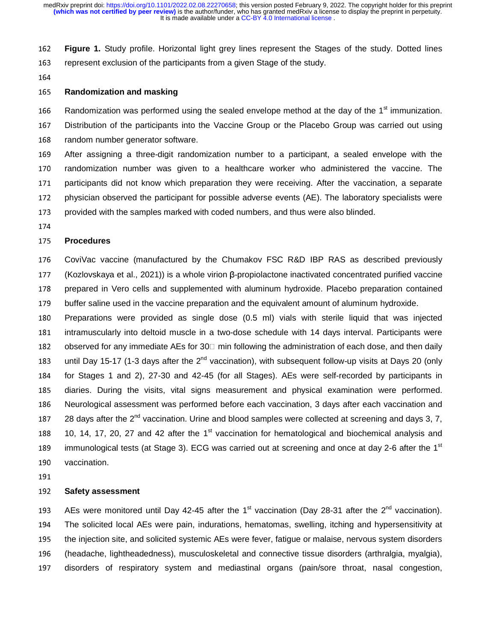<sup>162</sup>**Figure 1.** Study profile. Horizontal light grey lines represent the Stages of the study. Dotted lines 163 represent exclusion of the participants from a given Stage of the study.

164

#### <sup>165</sup>**Randomization and masking**

166 Randomization was performed using the sealed envelope method at the day of the  $1<sup>st</sup>$  immunization.

167 Distribution of the participants into the Vaccine Group or the Placebo Group was carried out using 168 random number generator software.

<sup>169</sup>After assigning a three-digit randomization number to a participant, a sealed envelope with the 170 randomization number was given to a healthcare worker who administered the vaccine. The 171 participants did not know which preparation they were receiving. After the vaccination, a separate 172 physician observed the participant for possible adverse events (AE). The laboratory specialists were 173 provided with the samples marked with coded numbers, and thus were also blinded.

174

#### <sup>175</sup>**Procedures**

176 CoviVac vaccine (manufactured by the Chumakov FSC R&D IBP RAS as described previously <sup>177</sup>(Kozlovskaya et al., 2021)) is a whole virion β-propiolactone inactivated concentrated purified vaccine 178 prepared in Vero cells and supplemented with aluminum hydroxide. Placebo preparation contained 179 buffer saline used in the vaccine preparation and the equivalent amount of aluminum hydroxide.

- <sup>180</sup>Preparations were provided as single dose (0.5 ml) vials with sterile liquid that was injected 181 intramuscularly into deltoid muscle in a two-dose schedule with 14 days interval. Participants were 182 observed for any immediate AEs for 30 min following the administration of each dose, and then daily 183 until Day 15-17 (1-3 days after the  $2^{nd}$  vaccination), with subsequent follow-up visits at Days 20 (only 184 for Stages 1 and 2), 27-30 and 42-45 (for all Stages). AEs were self-recorded by participants in 185 diaries. During the visits, vital signs measurement and physical examination were performed. 186 Neurological assessment was performed before each vaccination, 3 days after each vaccination and 187 28 days after the  $2^{nd}$  vaccination. Urine and blood samples were collected at screening and days 3, 7, 188 10, 14, 17, 20, 27 and 42 after the 1 $st$  vaccination for hematological and biochemical analysis and 189 immunological tests (at Stage 3). ECG was carried out at screening and once at day 2-6 after the  $1<sup>st</sup>$ 190 vaccination.
- 191

#### <sup>192</sup>**Safety assessment**

193 AEs were monitored until Day 42-45 after the 1<sup>st</sup> vaccination (Day 28-31 after the 2<sup>nd</sup> vaccination). <sup>194</sup>The solicited local AEs were pain, indurations, hematomas, swelling, itching and hypersensitivity at 195 the injection site, and solicited systemic AEs were fever, fatigue or malaise, nervous system disorders <sup>196</sup>(headache, lightheadedness), musculoskeletal and connective tissue disorders (arthralgia, myalgia), 197 disorders of respiratory system and mediastinal organs (pain/sore throat, nasal congestion,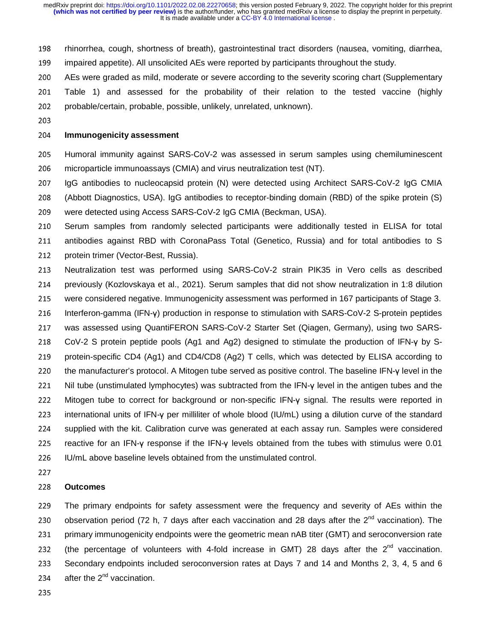- 198 rhinorrhea, cough, shortness of breath), gastrointestinal tract disorders (nausea, vomiting, diarrhea,
- 199 impaired appetite). All unsolicited AEs were reported by participants throughout the study.
- <sup>200</sup>AEs were graded as mild, moderate or severe according to the severity scoring chart (Supplementary
- 201 Table 1) and assessed for the probability of their relation to the tested vaccine (highly 202 probable/certain, probable, possible, unlikely, unrelated, unknown).
- 203

#### <sup>204</sup>**Immunogenicity assessment**

- <sup>205</sup>Humoral immunity against SARS-CoV-2 was assessed in serum samples using chemiluminescent 206 microparticle immunoassays (CMIA) and virus neutralization test (NT).
- 207 IgG antibodies to nucleocapsid protein (N) were detected using Architect SARS-CoV-2 IgG CMIA
- <sup>208</sup>(Abbott Diagnostics, USA). IgG antibodies to receptor-binding domain (RBD) of the spike protein (S) 209 were detected using Access SARS-CoV-2 IgG CMIA (Beckman, USA).
- 210 Serum samples from randomly selected participants were additionally tested in ELISA for total 211 antibodies against RBD with CoronaPass Total (Genetico, Russia) and for total antibodies to S 212 protein trimer (Vector-Best, Russia).
- 213 Neutralization test was performed using SARS-CoV-2 strain PIK35 in Vero cells as described 214 previously (Kozlovskaya et al., 2021). Serum samples that did not show neutralization in 1:8 dilution 215 were considered negative. Immunogenicity assessment was performed in 167 participants of Stage 3.
- <sup>216</sup>Interferon-gamma (IFN-γ) production in response to stimulation with SARS-CoV-2 S-protein peptides
- 217 was assessed using QuantiFERON SARS-CoV-2 Starter Set (Qiagen, Germany), using two SARS-
- 218 CoV-2 S protein peptide pools (Ag1 and Ag2) designed to stimulate the production of IFN-γ by S-219 protein-specific CD4 (Ag1) and CD4/CD8 (Ag2) T cells, which was detected by ELISA according to 220 the manufacturer's protocol. A Mitogen tube served as positive control. The baseline IFN-γ level in the <sup>221</sup>Nil tube (unstimulated lymphocytes) was subtracted from the IFN-γ level in the antigen tubes and the <sup>222</sup>Mitogen tube to correct for background or non-specific IFN-γ signal. The results were reported in 223 international units of IFN-γ per milliliter of whole blood (IU/mL) using a dilution curve of the standard 224 supplied with the kit. Calibration curve was generated at each assay run. Samples were considered 225 reactive for an IFN-γ response if the IFN-γ levels obtained from the tubes with stimulus were 0.01
- 226 U/mL above baseline levels obtained from the unstimulated control.
- 227

#### <sup>228</sup>**Outcomes**

<sup>229</sup>The primary endpoints for safety assessment were the frequency and severity of AEs within the 230 observation period (72 h, 7 days after each vaccination and 28 days after the  $2^{nd}$  vaccination). The 231 primary immunogenicity endpoints were the geometric mean nAB titer (GMT) and seroconversion rate 232 (the percentage of volunteers with 4-fold increase in GMT) 28 days after the  $2^{nd}$  vaccination. 233 Secondary endpoints included seroconversion rates at Days 7 and 14 and Months 2, 3, 4, 5 and 6 234 after the  $2^{nd}$  vaccination.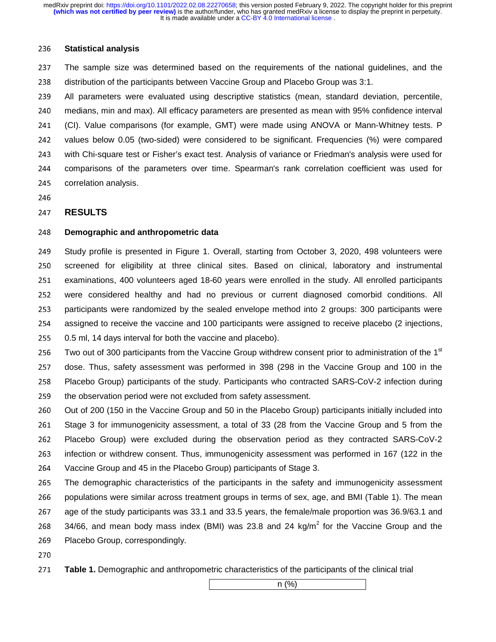#### <sup>236</sup>**Statistical analysis**

237 The sample size was determined based on the requirements of the national guidelines, and the 238 distribution of the participants between Vaccine Group and Placebo Group was 3:1.

<sup>239</sup>All parameters were evaluated using descriptive statistics (mean, standard deviation, percentile, 240 medians, min and max). All efficacy parameters are presented as mean with 95% confidence interval 241 (CI). Value comparisons (for example, GMT) were made using ANOVA or Mann-Whitney tests. P 242 values below 0.05 (two-sided) were considered to be significant. Frequencies (%) were compared 243 with Chi-square test or Fisher's exact test. Analysis of variance or Friedman's analysis were used for <sup>244</sup>comparisons of the parameters over time. Spearman's rank correlation coefficient was used for 245 correlation analysis.

246

#### <sup>247</sup>**RESULTS**

#### <sup>248</sup>**Demographic and anthropometric data**

249 Study profile is presented in Figure 1. Overall, starting from October 3, 2020, 498 volunteers were 250 screened for eligibility at three clinical sites. Based on clinical, laboratory and instrumental 251 examinations, 400 volunteers aged 18-60 years were enrolled in the study. All enrolled participants 252 were considered healthy and had no previous or current diagnosed comorbid conditions. All 253 participants were randomized by the sealed envelope method into 2 groups: 300 participants were 254 assigned to receive the vaccine and 100 participants were assigned to receive placebo (2 injections, 255 0.5 ml, 14 days interval for both the vaccine and placebo).

256 Two out of 300 participants from the Vaccine Group withdrew consent prior to administration of the  $1<sup>st</sup>$ <sup>257</sup>dose. Thus, safety assessment was performed in 398 (298 in the Vaccine Group and 100 in the 258 Placebo Group) participants of the study. Participants who contracted SARS-CoV-2 infection during 259 the observation period were not excluded from safety assessment.

260 Out of 200 (150 in the Vaccine Group and 50 in the Placebo Group) participants initially included into 261 Stage 3 for immunogenicity assessment, a total of 33 (28 from the Vaccine Group and 5 from the <sup>262</sup>Placebo Group) were excluded during the observation period as they contracted SARS-CoV-2 263 infection or withdrew consent. Thus, immunogenicity assessment was performed in 167 (122 in the 264 Vaccine Group and 45 in the Placebo Group) participants of Stage 3.

265 The demographic characteristics of the participants in the safety and immunogenicity assessment 266 populations were similar across treatment groups in terms of sex, age, and BMI (Table 1). The mean 267 age of the study participants was 33.1 and 33.5 years, the female/male proportion was 36.9/63.1 and 268 34/66, and mean body mass index (BMI) was 23.8 and 24 kg/ $m^2$  for the Vaccine Group and the 269 Placebo Group, correspondingly.

- 270
- <sup>271</sup>**Table 1.** Demographic and anthropometric characteristics of the participants of the clinical trial

 $n \quad (\%)$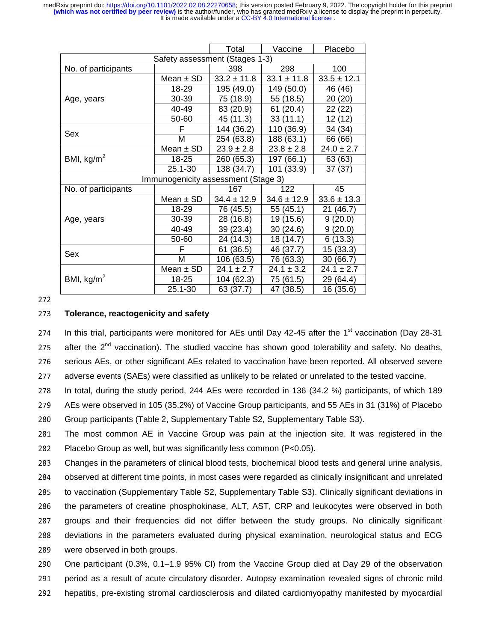|                                     |               | Total           | Vaccine         | Placebo         |  |  |  |  |  |
|-------------------------------------|---------------|-----------------|-----------------|-----------------|--|--|--|--|--|
| Safety assessment (Stages 1-3)      |               |                 |                 |                 |  |  |  |  |  |
| No. of participants                 |               | 398             | 298             | 100             |  |  |  |  |  |
|                                     | Mean $\pm$ SD | $33.2 \pm 11.8$ | $33.1 \pm 11.8$ | $33.5 \pm 12.1$ |  |  |  |  |  |
|                                     | 18-29         | 195 (49.0)      | 149 (50.0)      | 46 (46)         |  |  |  |  |  |
| Age, years                          | 30-39         | 75 (18.9)       | 55 (18.5)       | 20<br>(20)      |  |  |  |  |  |
|                                     | 40-49         | 83 (20.9)       | 61<br>(20.4)    | 22 (22)         |  |  |  |  |  |
|                                     | 50-60         | 45 (11.3)       | 33(11.1)        | 12 (12)         |  |  |  |  |  |
| Sex                                 | F             | 144 (36.2)      | 110 (36.9)      | 34 (34)         |  |  |  |  |  |
|                                     | М             | 254 (63.8)      | 188 (63.1)      | 66 (66)         |  |  |  |  |  |
|                                     | Mean $\pm$ SD | $23.9 \pm 2.8$  | $23.8 \pm 2.8$  | $24.0 \pm 2.7$  |  |  |  |  |  |
| BMI, $kg/m2$                        | 18-25         | 260 (65.3)      | 197 (66.1)      | 63 (63)         |  |  |  |  |  |
|                                     | 25.1-30       | 138 (34.7)      | 101 (33.9)      | 37(37)          |  |  |  |  |  |
| Immunogenicity assessment (Stage 3) |               |                 |                 |                 |  |  |  |  |  |
| No. of participants                 |               | 167             | 122             | 45              |  |  |  |  |  |
| Age, years                          | Mean $\pm$ SD | $34.4 \pm 12.9$ | $34.6 \pm 12.9$ | $33.6 \pm 13.3$ |  |  |  |  |  |
|                                     | 18-29         | 76 (45.5)       | 55 (45.1)       | 21(46.7)        |  |  |  |  |  |
|                                     | 30-39         | 28 (16.8)       | 19 (15.6)       | 9(20.0)         |  |  |  |  |  |
|                                     | 40-49         | 39 (23.4)       | 30(24.6)        | 9(20.0)         |  |  |  |  |  |
|                                     | 50-60         | 24 (14.3)       | 18 (14.7)       | 6(13.3)         |  |  |  |  |  |
| Sex                                 | F             | 61 (36.5)       | 46 (37.7)       | 15 (33.3)       |  |  |  |  |  |
|                                     | Μ             | 106 (63.5)      | 76 (63.3)       | 30(66.7)        |  |  |  |  |  |
|                                     | Mean $\pm$ SD | $24.1 \pm 2.7$  | $24.1 \pm 3.2$  | $24.1 \pm 2.7$  |  |  |  |  |  |
| BMI, $kg/m2$                        | 18-25         | 104 (62.3)      | 75 (61.5)       | 29 (64.4)       |  |  |  |  |  |
|                                     | 25.1-30       | 63 (37.7)       | 47 (38.5)       | 16 (35.6)       |  |  |  |  |  |

272

#### <sup>273</sup>**Tolerance, reactogenicity and safety**

274 In this trial, participants were monitored for AEs until Day 42-45 after the  $1<sup>st</sup>$  vaccination (Day 28-31) 275 after the  $2<sup>nd</sup>$  vaccination). The studied vaccine has shown good tolerability and safety. No deaths, 276 serious AEs, or other significant AEs related to vaccination have been reported. All observed severe 277 adverse events (SAEs) were classified as unlikely to be related or unrelated to the tested vaccine.

278 In total, during the study period, 244 AEs were recorded in 136 (34.2 %) participants, of which 189

279 AEs were observed in 105 (35.2%) of Vaccine Group participants, and 55 AEs in 31 (31%) of Placebo

280 Group participants (Table 2, Supplementary Table S2, Supplementary Table S3).

281 The most common AE in Vaccine Group was pain at the injection site. It was registered in the 282 Placebo Group as well, but was significantly less common  $(P<0.05)$ .

283 Changes in the parameters of clinical blood tests, biochemical blood tests and general urine analysis,

284 observed at different time points, in most cases were regarded as clinically insignificant and unrelated

285 to vaccination (Supplementary Table S2, Supplementary Table S3). Clinically significant deviations in

286 the parameters of creatine phosphokinase, ALT, AST, CRP and leukocytes were observed in both

287 groups and their frequencies did not differ between the study groups. No clinically significant

288 deviations in the parameters evaluated during physical examination, neurological status and ECG

289 were observed in both groups.

290 One participant (0.3%, 0.1–1.9 95% CI) from the Vaccine Group died at Day 29 of the observation 291 period as a result of acute circulatory disorder. Autopsy examination revealed signs of chronic mild

292 hepatitis, pre-existing stromal cardiosclerosis and dilated cardiomyopathy manifested by myocardial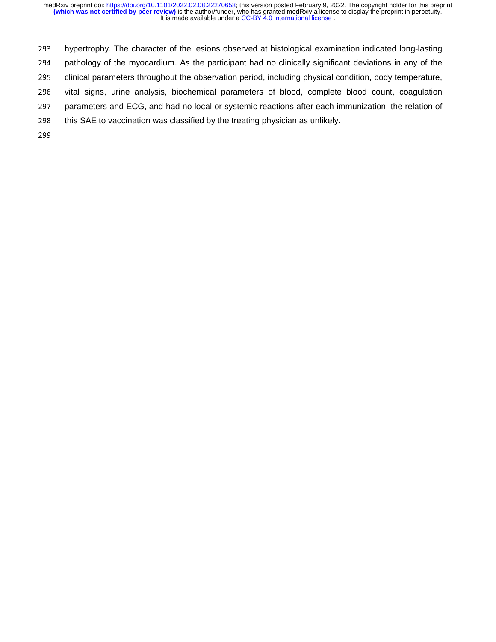293 hypertrophy. The character of the lesions observed at histological examination indicated long-lasting<br>294 pathology of the myocardium. As the participant had no clinically significant deviations in any of the pathology of the myocardium. As the participant had no clinically significant deviations in any of the 295 clinical parameters throughout the observation period, including physical condition, body temperature, 296 vital signs, urine analysis, biochemical parameters of blood, complete blood count, coagulation 297 parameters and ECG, and had no local or systemic reactions after each immunization, the relation of 298 this SAE to vaccination was classified by the treating physician as unlikely.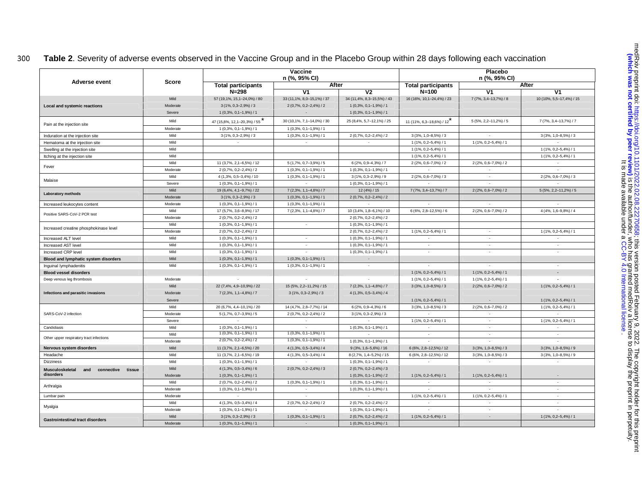## <sup>300</sup>**Table 2**. Severity of adverse events observed in the Vaccine Group and in the Placebo Group within 28 days following each vaccination

| Adverse event                                         | Score    | Vaccine<br>n (%, 95% CI)    |                            |                            | Placebo<br>n (%, 95% CI)    |                           |                             |
|-------------------------------------------------------|----------|-----------------------------|----------------------------|----------------------------|-----------------------------|---------------------------|-----------------------------|
|                                                       |          | <b>Total participants</b>   |                            | After                      | <b>Total participants</b>   |                           | After                       |
|                                                       |          | $N = 298$                   | V1                         | V <sub>2</sub>             | $N = 100$                   | V <sub>1</sub>            | ۷1                          |
|                                                       | Mild     | 57 (19,1%, 15,1-24,0%) / 80 | 33 (11,1%, 8,0-15,1%) / 37 | 34 (11,4%, 8,3-15,5%) / 43 | 16 (16%, 10, 1-24, 4%) / 23 | 7 (7%, 3,4-13,7%) / 8     | 10 (10%, 5,5-17,4%) / 15    |
| Local and systemic reactions                          | Moderate | $3(1\%, 0,3-2,9\%)/3$       | $2(0,7\%, 0,2-2,4\%)/2$    | $1(0,3\%, 0,1-1,9\%)/1$    |                             |                           |                             |
|                                                       | Severe   | $1(0,3\%, 0,1-1,9\%)/1$     |                            | $1(0,3\%, 0,1-1,9\%)/1$    |                             |                           |                             |
|                                                       | Mild     | 47 (15,8%, 12,1-20,3%) / 55 | 30 (10,1%, 7,1-14,0%) / 30 | 25 (8,4%, 5,7-12,1%) / 25  | 11 (11%, 6,3-18,6%) / 12    | $5(5\%, 2, 2-11, 2\%)/5$  | 7 (7%, 3, 4-13, 7%) / 7     |
| Pain at the injection site                            | Moderate | $1(0,3\%, 0,1-1,9\%)/1$     | $1(0,3\%, 0,1-1,9\%)/1$    |                            |                             |                           |                             |
| Induration at the injection site                      | Mild     | $3(1\%, 0,3-2,9\%)/3$       | $1(0,3\%, 0,1-1,9\%)/1$    | 2 (0,7%, 0,2-2,4%) / 2     | $3(3\%, 1,0-8,5\%)$ / 3     | $\sim$                    | $3(3\%, 1,0-8,5\%)/3$       |
| Hematoma at the injection site                        | Mild     |                             |                            |                            | $1(1\%, 0.2 - 5.4\%) / 1$   | $1(1\%, 0, 2-5, 4\%)$ / 1 |                             |
| Swelling at the injection site                        | Mild     |                             |                            |                            | $1(1\%, 0, 2-5, 4\%)$ / 1   |                           | $1(1\%, 0.2 - 5.4\%) / 1$   |
| Itching at the injection site                         | Mild     |                             |                            |                            | $1(1\%, 0.2 - 5.4\%) / 1$   |                           | $1(1\%, 0.2 - 5.4\%) / 1$   |
|                                                       | Mild     | 11 (3,7%, 2,1-6,5%) / 12    | $5(1,7\%, 0,7-3,9\%)/5$    | $6(2\%, 0.9-4.3\%)/7$      | $2(2\%, 0.6 - 7.0\%)/2$     | $2(2\%, 0.6 - 7.0\%) / 2$ | $\sim$                      |
| Fever                                                 | Moderate | $2(0.7\%, 0.2 - 2.4\%)/2$   | $1(0,3\%, 0,1-1,9\%)/1$    | $1(0,3\%, 0,1-1,9\%)/1$    |                             | $\sim$                    |                             |
|                                                       | Mild     | 4 (1,3%, 0,5-3,4%) / 10     | $1(0,3\%, 0,1-1,9\%)/1$    | $3(1\%, 0.3 - 2.9\%)/9$    | 2 (2%, 0,6-7,0%) / 3        | $\sim$                    | $2(2\%, 0.6 - 7.0\%)$ / 3   |
| Malaise                                               | Severe   | $1(0,3\%, 0,1-1,9\%)/1$     |                            | $1(0,3\%, 0,1-1,9\%)/1$    |                             |                           |                             |
|                                                       | Mild     | 19 (6,4%, 4,1-9,7%) / 22    | 7 (2,3%, 1,1-4,8%) / 7     | 12 (4%) / 15               | 7 (7%, 3,4-13,7%) / 7       | $2(2\%, 0.6 - 7.0\%)/2$   | $5(5\%, 2, 2-11, 2\%)/5$    |
| Laboratory methods                                    | Moderate | $3(1\%, 0,3-2,9\%)/3$       | $1(0,3\%, 0,1-1,9\%)/1$    | 2 (0,7%, 0,2-2,4%) / 2     |                             |                           |                             |
| Increased leukocytes content                          | Moderate | $1(0,3\%, 0,1-1,9\%)/1$     | $1(0,3\%, 0,1-1,9\%)/1$    | $\sim$                     | $\sim$                      | $\sim$                    | $\mathcal{L}_{\mathcal{A}}$ |
|                                                       | Mild     | 17 (5,7%, 3,6-8,9%) / 17    | 7 (2,3%, 1,1-4,8%) / 7     | 10 (3,4%, 1,8-6,1%) / 10   | 6 (6%, 2,8-12,5%) / 6       | 2 (2%, 0,6-7,0%) / 2      | $4(4\%, 1,6-9,8\%)/4$       |
| Positive SARS-CoV-2 PCR test                          | Moderate | $2(0.7\%, 0.2 - 2.4\%)/2$   |                            | $2(0,7\%, 0,2-2,4\%)/2$    |                             |                           |                             |
|                                                       | Mild     | $1(0,3\%, 0,1-1,9\%)/1$     | $\sim$                     | $1(0,3\%, 0,1-1,9\%)/1$    |                             |                           |                             |
| Increased creatine phosphokinase level                | Moderate | 2 (0,7%, 0,2-2,4%) / 2      |                            | $2(0,7\%, 0,2-2,4\%)/2$    | $1(1\%, 0, 2-5, 4\%)$ / 1   | $\sim$                    | $1(1\%, 0, 2-5, 4\%)$ / 1   |
| Increased ALT level                                   | Mild     | $1(0,3\%, 0,1-1,9\%)/1$     | $\sim$                     | $1(0,3\%, 0,1-1,9\%)/1$    | $\sim$                      | $\sim$                    | $\sim$                      |
| <b>Increased AST level</b>                            | Mild     | $1(0.3\%, 0.1-1.9\%)/1$     | $\sim$                     | $1(0,3\%, 0,1-1,9\%)/1$    | $\overline{\phantom{a}}$    | $\overline{\phantom{a}}$  | $\overline{\phantom{a}}$    |
| Increased CRP level                                   | Mild     | $1(0,3\%, 0,1-1,9\%)/1$     | $\overline{a}$             | $1(0,3\%, 0,1-1,9\%)/1$    | $\sim$                      | $\sim$                    | $\sim$                      |
| Blood and lymphatic system disorders                  | Mild     | $1(0,3\%, 0,1-1,9\%)/1$     | $1(0.3\%, 0.1-1.9\%)/1$    | $\sim$                     |                             |                           |                             |
| Inquinal lymphadenitis                                | Mild     | $1(0,3\%, 0,1-1,9\%)/1$     | $1(0,3\%, 0,1-1,9\%)/1$    | $\sim$                     |                             |                           | $\sim$                      |
| <b>Blood vessel disorders</b>                         |          |                             |                            |                            | $1(1\%, 0, 2-5, 4\%)$ / 1   | $1(1\%, 0.2 - 5.4\%) / 1$ | $\overline{a}$              |
| Deep venous leg thrombosis                            | Moderate | $\sim$                      | $\sim$                     | $\sim$                     | $1(1\%, 0.2 - 5.4\%) / 1$   | $1(1\%, 0.2 - 5.4\%) / 1$ |                             |
|                                                       | Mild     | 22 (7,4%, 4,9-10,9%) / 22   | 15 (5%, 2, 2-11, 2%) / 15  | 7 (2,3%, 1,1-4,8%) / 7     | $3(3\%, 1,0-8,5\%)/3$       | $2(2\%, 0,6-7,0\%)/2$     | $1(1\%, 0.2 - 5.4\%) / 1$   |
| Infections and parasitic invasions                    | Moderate | 7 (2,3%, 1,1-4,8%) / 7      | $3(1\%, 0,3-2,9\%)/3$      | 4 (1,3%, 0,5-3,4%) / 4     |                             |                           |                             |
|                                                       | Severe   |                             |                            |                            | $1(1\%, 0, 2-5, 4\%)$ / 1   |                           | $1(1\%, 0.2 - 5.4\%) / 1$   |
|                                                       | Mild     | 20 (6,7%, 4,4-10,1%) / 20   | 14 (4,7%, 2,8-7,7%) / 14   | $6(2\%, 0, 9-4, 3\%)/6$    | $3(3\%, 1,0-8,5\%)/3$       | $2(2\%, 0.6 - 7.0\%)$ / 2 | $1(1\%, 0.2 - 5.4\%) / 1$   |
| SARS-CoV-2 infection                                  | Moderate | $5(1,7\%, 0,7-3,9\%)/5$     | 2 (0,7%, 0,2-2,4%) / 2     | $3(1\%, 0,3-2,9\%)/3$      |                             |                           |                             |
|                                                       | Severe   |                             |                            |                            | 1 (1%, 0, 2-5, 4%) / 1      | $\sim$                    | $1(1\%, 0.2 - 5.4\%) / 1$   |
| Candidiasis                                           | Mild     | $1(0,3\%, 0,1-1,9\%)/1$     |                            | $1(0,3\%, 0,1-1,9\%)/1$    | $\sim$                      | $\overline{\phantom{a}}$  | $\sim$                      |
| Other upper respiratory tract infections              | Mild     | $1(0,3\%, 0,1-1,9\%)/1$     | $1(0,3\%, 0,1-1,9\%)/1$    |                            | $\sim$                      | $\sim$                    | $\sim$                      |
|                                                       | Moderate | $2(0.7\%, 0.2 - 2.4\%)/2$   | $1(0,3\%, 0,1-1,9\%)/1$    | 1 (0.3%, 0.1-1.9%) / 1     |                             |                           |                             |
| Nervous system disorders                              | Mild     | 11 (3,7%, 2,1-6,5%) / 20    | $4(1,3\%, 0.5-3,4\%)/4$    | $9(3\%, 1,6-5,6\%)$ / 16   | 6 (6%, 2,8-12,5%) / 12      | $3(3\%, 1,0-8,5\%)/3$     | $3(3\%, 1,0-8,5\%)/9$       |
| Headache                                              | Mild     | 11 (3,7%, 2,1-6,5%) / 19    | $4(1,3\%, 0,5-3,4\%)/4$    | 8 (2,7%, 1,4-5,2%) / 15    | 6 (6%, 2,8-12,5%) / 12      | $3(3\%, 1,0-8,5\%)$ / 3   | $3(3\%, 1,0-8,5\%)$ / 9     |
| <b>Dizziness</b>                                      | Mild     | $1(0,3\%, 0,1-1,9\%)/1$     |                            | $1(0,3\%, 0,1-1,9\%)$ / 1  | $\sim$                      | $\sim$                    | $\sim$                      |
| <b>Musculoskeletal</b><br>and<br>connective<br>tissue | Mild     | $4(1,3\%, 0,5-3,4\%)/6$     | $2(0,7\%, 0,2-2,4\%)/3$    | $2(0,7\%, 0,2-2,4\%)/3$    |                             |                           |                             |
| disorders                                             | Moderate | $1(0,3\%, 0,1-1,9\%)/1$     |                            | $1(0,3\%, 0,1-1,9\%)/2$    | 1 (1%, 0, 2-5, 4%) / 1      | $1(1\%, 0, 2-5, 4\%)$ / 1 |                             |
| Arthralgia                                            | Mild     | $2(0.7\%, 0.2 - 2.4\%)/2$   | $1(0,3\%, 0,1-1,9\%)/1$    | $1(0,3\%, 0,1-1,9\%)/1$    |                             |                           | $\sim$                      |
|                                                       | Moderate | $1(0,3\%, 0,1-1,9\%)/1$     |                            | $1(0,3\%, 0,1-1,9\%)/1$    |                             |                           | $\sim$                      |
| Lumbar pain                                           | Moderate |                             |                            |                            | $1(1\%, 0, 2-5, 4\%)$ / 1   | $1(1\%, 0, 2-5, 4\%)$ / 1 | $\sim$                      |
| Myalgia                                               | Mild     | 4 (1,3%, 0,5-3,4%) / 4      | $2(0.7\%, 0.2 - 2.4\%)/2$  | 2 (0,7%, 0,2-2,4%) / 2     | $\sim$                      | $\sim$                    | $\sim$                      |
|                                                       | Moderate | $1(0,3\%, 0,1-1,9\%)/1$     |                            | $1(0,3\%, 0,1-1,9\%)/1$    |                             |                           | $\sim$                      |
| <b>Gastrointestinal tract disorders</b>               | Mild     | $3(1\%, 0,3-2,9\%)/3$       | $1(0,3\%, 0,1-1,9\%)/1$    | $2(0,7\%, 0,2-2,4\%)/2$    | $1(1\%, 0, 2-5, 4\%)$ / 1   |                           | $1(1\%, 0, 2-5, 4\%)$ / 1   |
|                                                       | Moderate | $1(0,3\%, 0,1-1,9\%)/1$     |                            | $1(0,3\%, 0,1-1,9\%)/1$    |                             |                           |                             |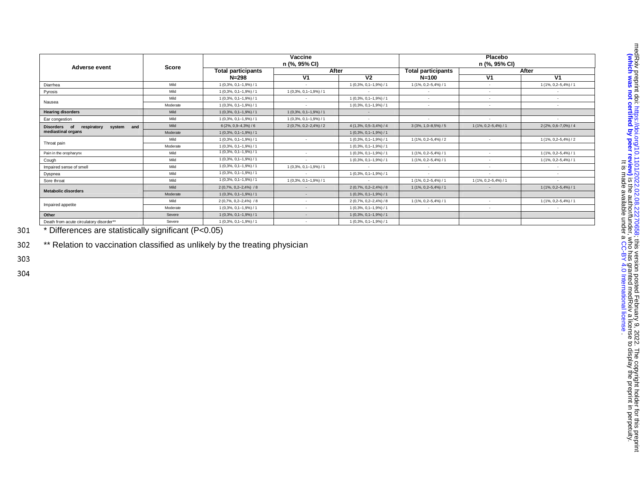| Adverse event                                | Score    | Vaccine<br>n (%, 95% CI)  |                         |                           | Placebo<br>n (%, 95% CI)  |                           |                           |  |
|----------------------------------------------|----------|---------------------------|-------------------------|---------------------------|---------------------------|---------------------------|---------------------------|--|
|                                              |          | <b>Total participants</b> | After                   |                           | <b>Total participants</b> | After                     |                           |  |
|                                              |          | $N = 298$                 | V <sub>1</sub>          | V <sub>2</sub>            | $N = 100$                 | V <sub>1</sub>            | V <sub>1</sub>            |  |
| Diarrhea                                     | Mild     | $1(0,3\%, 0,1-1,9\%)/1$   | $\sim$                  | $1(0,3\%, 0,1-1,9\%)/1$   | 1 (1%, 0, 2-5, 4%) / 1    | $\sim$                    | $1(1\%, 0, 2-5, 4\%) / 1$ |  |
| Pyrosis                                      | Mild     | $1(0,3\%, 0,1-1,9\%)/1$   | $1(0,3\%, 0,1-1,9\%)/1$ |                           |                           | $\sim$                    | $\sim$                    |  |
|                                              | Mild     | $1(0,3\%, 0,1-1,9\%)/1$   |                         | $1(0,3\%, 0,1-1,9\%)/1$   | $\overline{\phantom{a}}$  | $\sim$                    | $\sim$                    |  |
| Nausea                                       | Moderate | $1(0,3\%, 0,1-1,9\%)/1$   | $\sim$                  | $1(0,3\%, 0,1-1,9\%)/1$   | $\overline{\phantom{a}}$  | $\sim$                    | $\overline{\phantom{a}}$  |  |
| <b>Hearing disorders</b>                     | Mild     | $1(0,3\%, 0,1-1,9\%)/1$   | $1(0,3\%, 0,1-1,9\%)/1$ | $\sim$                    |                           |                           |                           |  |
| Ear congestion                               | Mild     | $1(0,3\%, 0,1-1,9\%)/1$   | $1(0,3\%, 0,1-1,9\%)/1$ | $\sim$                    |                           | $\sim$                    | $\sim$                    |  |
| Disorders of<br>respiratory<br>and<br>system | Mild     | $6(2\%, 0.9-4.3\%)/6$     | $2(0,7\%, 0,2-2,4\%)/2$ | $4(1,3\%, 0,5-3,4\%)/4$   | $3(3\%, 1,0-8,5\%)/5$     | $1(1\%, 0.2 - 5.4\%) / 1$ | $2(2\%, 0.6 - 7.0\%) / 4$ |  |
| mediastinal organs                           | Moderate | $1(0,3\%, 0,1-1,9\%)/1$   |                         | $1(0,3\%, 0,1-1,9\%)/1$   |                           |                           |                           |  |
|                                              | Mild     | $1(0,3\%, 0,1-1,9\%)/1$   | $\sim$                  | 1 (0,3%, 0,1-1,9%) / 1    | $1(1\%, 0, 2-5, 4\%)/2$   |                           | $1(1\%, 0, 2-5, 4\%)/2$   |  |
| Throat pain                                  | Moderate | $1(0,3\%, 0,1-1,9\%)/1$   |                         | $1(0,3\%, 0,1-1,9\%)/1$   |                           |                           |                           |  |
| Pain in the oropharynx                       | Mild     | $1(0,3\%, 0,1-1,9\%)/1$   |                         | $1(0,3\%, 0,1-1,9\%)/1$   | $1(1\%, 0, 2-5, 4\%)$ / 1 | $\sim$                    | $1(1\%, 0.2 - 5.4\%) / 1$ |  |
| Cough                                        | Mild     | $1(0,3\%, 0,1-1,9\%)/1$   |                         | $1(0,3\%, 0,1-1,9\%)/1$   | $1(1\%, 0.2 - 5.4\%) / 1$ | $\sim$                    | $1(1\%, 0.2 - 5.4\%) / 1$ |  |
| Impaired sense of smell                      | Mild     | $1(0,3\%, 0,1-1,9\%)/1$   | $1(0,3\%, 0,1-1,9\%)/1$ |                           |                           | $\sim$                    |                           |  |
| Dyspnea                                      | Mild     | $1(0,3\%, 0,1-1,9\%)/1$   | $\sim$                  | $1(0,3\%, 0,1-1,9\%)/1$   | $\sim$                    | $\sim$                    |                           |  |
| Sore throat                                  | Mild     | $1(0,3\%, 0,1-1,9\%)/1$   | $1(0,3\%, 0,1-1,9\%)/1$ | $\sim$                    | $1(1\%, 0, 2-5, 4\%)$ / 1 | $1(1\%, 0.2 - 5.4\%) / 1$ | ٠                         |  |
| <b>Metabolic disorders</b>                   | Mild     | $2(0.7\%, 0.2-2.4\%)$ / 8 |                         | $2(0.7\%, 0.2 - 2.4\%)/8$ | 1 (1%, 0, 2-5, 4%) / 1    |                           | $1(1\%, 0.2 - 5.4\%) / 1$ |  |
|                                              | Moderate | $1(0,3\%, 0,1-1,9\%)/1$   | $\sim$                  | $1(0,3\%, 0,1-1,9\%)/1$   |                           |                           |                           |  |
|                                              | Mild     | $2(0.7\%, 0.2-2.4\%)$ / 8 | $\sim$                  | $2(0.7\%, 0.2 - 2.4\%)/8$ | $1(1\%, 0, 2-5, 4\%)$ / 1 | $\sim$                    | $1(1\%, 0.2 - 5.4\%) / 1$ |  |
| Impaired appetite                            | Moderate | $1(0,3\%, 0,1-1,9\%)/1$   | $\sim$                  | $1(0,3\%, 0,1-1,9\%)/1$   | $\overline{\phantom{a}}$  | $\sim$                    | $\overline{\phantom{a}}$  |  |
| Other                                        | Severe   | $1(0,3\%, 0,1-1,9\%)/1$   | $\sim$                  | $1(0,3\%, 0,1-1,9\%)/1$   |                           |                           |                           |  |
| Death from acute circulatory disorder**      | Severe   | $1(0,3\%, 0,1-1,9\%)/1$   |                         | $1(0,3\%, 0,1-1,9\%)/1$   |                           |                           |                           |  |

301 \* Differences are statistically significant (P<0.05)

302 \*\* Relation to vaccination classified as unlikely by the treating physician

303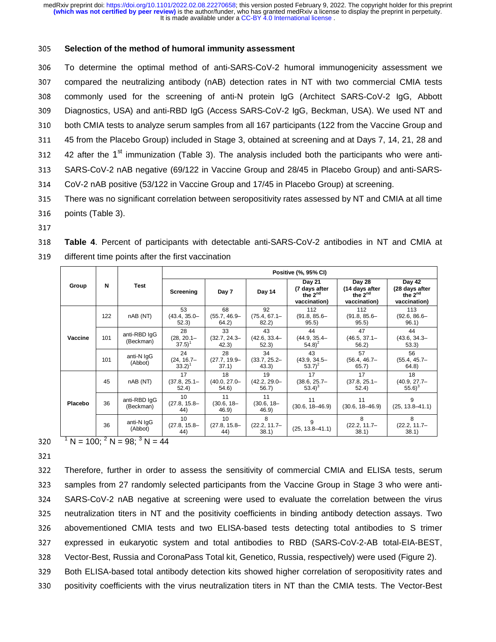#### <sup>305</sup>**Selection of the method of humoral immunity assessment**

306 To determine the optimal method of anti-SARS-CoV-2 humoral immunogenicity assessment we<br>307 compared the neutralizing antibody (nAB) detection rates in NT with two commercial CMIA tests 307 compared the neutralizing antibody (nAB) detection rates in NT with two commercial CMIA tests<br>308 commonly used for the screening of anti-N protein lgG (Architect SARS-CoV-2 lgG. Abbott 308 commonly used for the screening of anti-N protein IgG (Architect SARS-CoV-2 IgG, Abbott<br>309 Diagnostics, USA) and anti-RBD IgG (Access SARS-CoV-2 IgG, Beckman, USA). We used NT and 309 Diagnostics, USA) and anti-RBD IgG (Access SARS-CoV-2 IgG, Beckman, USA). We used NT and<br>310 both CMIA tests to analyze serum samples from all 167 participants (122 from the Vaccine Group and 310 both CMIA tests to analyze serum samples from all 167 participants (122 from the Vaccine Group and<br>311 45 from the Placebo Group) included in Stage 3, obtained at screening and at Days 7, 14, 21, 28 and 311 45 from the Placebo Group) included in Stage 3, obtained at screening and at Days 7, 14, 21, 28 and<br>312 42 after the 1<sup>st</sup> immunization (Table 3). The analysis included both the participants who were anti-42 after the  $1^{\text{st}}$  immunization (Table 3). The analysis included both the participants who were anti-<br>313 SARS-CoV-2 nAB negative (69/122 in Vaccine Group and 28/45 in Placebo Group) and anti-SARS-313 SARS-CoV-2 nAB negative (69/122 in Vaccine Group and 28/45 in Placebo Group) and anti-SARS-<br>314 CoV-2 nAB positive (53/122 in Vaccine Group and 17/45 in Placebo Group) at screening. 314 CoV-2 nAB positive (53/122 in Vaccine Group and 17/45 in Placebo Group) at screening.<br>315 There was no significant correlation between seropositivity rates assessed by NT and CM

- 315 There was no significant correlation between seropositivity rates assessed by NT and CMIA at all time<br>316 points (Table 3). 316 points (Table 3).<br>317
- 

<sup>318</sup>**Table 4**. Percent of participants with detectable anti-SARS-CoV-2 antibodies in NT and CMIA at different time points after the first vaccination

|         | N   | Test                      | Positive (%, 95% CI)                       |                                |                                 |                                                                |                                                                 |                                                          |  |  |
|---------|-----|---------------------------|--------------------------------------------|--------------------------------|---------------------------------|----------------------------------------------------------------|-----------------------------------------------------------------|----------------------------------------------------------|--|--|
| Group   |     |                           | Screening                                  | Day 7                          | Day 14                          | Day 21<br>(7 days after<br>the 2 <sup>nd</sup><br>vaccination) | Day 28<br>(14 days after<br>the 2 <sup>nd</sup><br>vaccination) | Day 42<br>(28 days after<br>the $2^{nd}$<br>vaccination) |  |  |
| Vaccine | 122 | nAB (NT)                  | 53<br>$(43.4, 35.0 -$<br>52.3)             | 68<br>(55.7, 46.9-<br>64.2)    | 92<br>$(75.4, 67.1 -$<br>82.2   | 112<br>$(91.8, 85.6 -$<br>95.5)                                | 112<br>$(91.8, 85.6 -$<br>95.5)                                 | 113<br>$(92.6, 86.6 -$<br>96.1)                          |  |  |
|         | 101 | anti-RBD IgG<br>(Beckman) | 28<br>$(28, 20.1 -$<br>$(37.5)^1$          | 33<br>$(32.7, 24.3 -$<br>42.3) | 43<br>$(42.6, 33.4 -$<br>52.3)  | 44<br>$(44.9, 35.4 -$<br>$(54.8)^2$                            | 47<br>$(46.5, 37.1 -$<br>56.2                                   | 44<br>$(43.6, 34.3 -$<br>53.3)                           |  |  |
|         | 101 | anti-N IgG<br>(Abbot)     | 24<br>$(24, 16.7 -$<br>$33.2$ <sup>1</sup> | 28<br>$(27.7, 19.9 -$<br>37.1) | 34<br>$(33.7, 25.2 -$<br>(43.3) | 43<br>$(43.9, 34.5 -$<br>$(53.7)^2$                            | 57<br>$(56.4, 46.7 -$<br>65.7)                                  | 56<br>$(55.4, 45.7 -$<br>64.8)                           |  |  |
| Placebo | 45  | nAB (NT)                  | 17<br>$(37.8, 25.1 -$<br>52.4)             | 18<br>$(40.0, 27.0 -$<br>54.6) | 19<br>$(42.2, 29.0 -$<br>56.7   | 17<br>$(38.6, 25.7 -$<br>$53.4)^3$                             | 17<br>$(37.8, 25.1 -$<br>52.4)                                  | 18<br>$(40.9, 27.7 -$<br>$(55.6)^3$                      |  |  |
|         | 36  | anti-RBD IgG<br>(Beckman) | 10<br>$(27.8, 15.8 -$<br>44)               | 11<br>$(30.6, 18 -$<br>46.9    | 11<br>$(30.6, 18 -$<br>46.9     | 11<br>$(30.6, 18 - 46.9)$                                      | 11<br>$(30.6, 18 - 46.9)$                                       | 9<br>$(25, 13.8 - 41.1)$                                 |  |  |
|         | 36  | anti-N IgG<br>(Abbot)     | 10<br>$(27.8, 15.8 -$<br>44)               | 10<br>$(27.8, 15.8 -$<br>44)   | 8<br>$(22.2, 11.7-$<br>38.1)    | 9<br>$(25, 13.8 - 41.1)$                                       | 8<br>$(22.2, 11.7 -$<br>38.1)                                   | 8<br>$(22.2, 11.7 -$<br>38.1)                            |  |  |

320  $^{\frac{1}{1}}$  N = 100; <sup>2</sup> N = 98; <sup>3</sup> N = 44

321<br>322

322 Therefore, further in order to assess the sensitivity of commercial CMIA and ELISA tests, serum<br>323 samples from 27 randomly selected participants from the Vaccine Group in Stage 3 who were anti-323 samples from 27 randomly selected participants from the Vaccine Group in Stage 3 who were anti-<br>324 SARS-CoV-2 nAB negative at screening were used to evaluate the correlation between the virus 324 SARS-CoV-2 nAB negative at screening were used to evaluate the correlation between the virus<br>325 neutralization titers in NT and the positivity coefficients in binding antibody detection assays. Two neutralization titers in NT and the positivity coefficients in binding antibody detection assays. Two 326 abovementioned CMIA tests and two ELISA-based tests detecting total antibodies to S trimer<br>327 expressed in eukaryotic system and total antibodies to RBD (SARS-CoV-2-AB total-EIA-BEST, 327 expressed in eukaryotic system and total antibodies to RBD (SARS-CoV-2-AB total-EIA-BEST,<br>328 Vector-Best, Russia and CoronaPass Total kit, Genetico, Russia, respectively) were used (Figure 2). 328 Vector-Best, Russia and CoronaPass Total kit, Genetico, Russia, respectively) were used (Figure 2).<br>329 Both ELISA-based total antibody detection kits showed higher correlation of seropositivity rates and

329 Both ELISA-based total antibody detection kits showed higher correlation of seropositivity rates and<br>330 positivity coefficients with the virus neutralization titers in NT than the CMIA tests. The Vector-Best <sup>330</sup>positivity coefficients with the virus neutralization titers in NT than the CMIA tests. The Vector-Best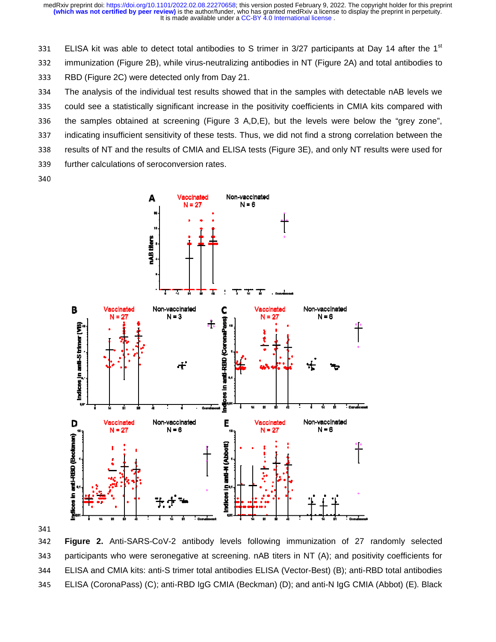It is made available under a CC-BY 4.0 International license. **(which was not certified by peer review)** is the author/funder, who has granted medRxiv a license to display the preprint in perpetuity. medRxiv preprint doi: [https://doi.org/10.1101/2022.02.08.22270658;](https://doi.org/10.1101/2022.02.08.22270658) this version posted February 9, 2022. The copyright holder for this preprint

331 ELISA kit was able to detect total antibodies to S trimer in  $3/27$  participants at Day 14 after the 1<sup>st</sup>

332 immunization (Figure 2B), while virus-neutralizing antibodies in NT (Figure 2A) and total antibodies to

333 RBD (Figure 2C) were detected only from Day 21.<br>334 The analysis of the individual test results showed

334 The analysis of the individual test results showed that in the samples with detectable nAB levels we

335 could see a statistically significant increase in the positivity coefficients in CMIA kits compared with

336 the samples obtained at screening (Figure 3 A,D,E), but the levels were below the "grey zone",

337 indicating insufficient sensitivity of these tests. Thus, we did not find a strong correlation between the

338 Fesults of NT and the results of CMIA and ELISA tests (Figure 3E), and only NT results were used for

339 further calculations of seroconversion rates.

340



341<br>342

342 **Figure 2.** Anti-SARS-CoV-2 antibody levels following immunization of 27 randomly selected 343 participants who were seronegative at screening. nAB titers in NT (A); and positivity coefficients for <sup>344</sup>ELISA and CMIA kits: anti-S trimer total antibodies ELISA (Vector-Best) (B); anti-RBD total antibodi dies 345 ELISA (CoronaPass) (C); anti-RBD IgG CMIA (Beckman) (D); and anti-N IgG CMIA (Abbot) (E). Black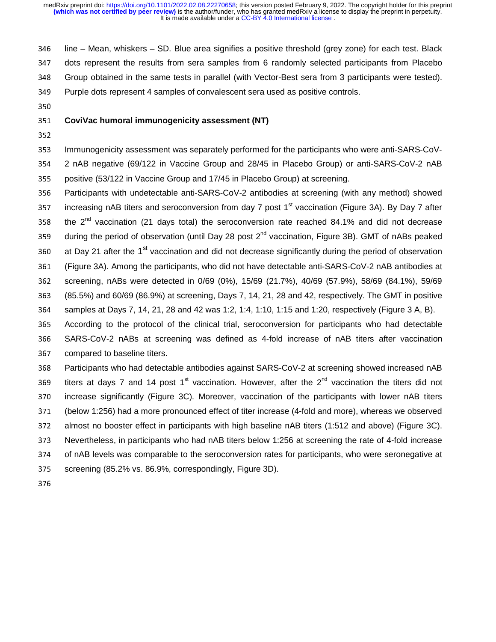346 line – Mean, whiskers – SD. Blue area signifies a positive threshold (grey zone) for each test. Black<br>347 dots represent the results from sera samples from 6 randomly selected participants from Placebo 347 dots represent the results from sera samples from 6 randomly selected participants from Placebo<br>348 Group obtained in the same tests in parallel (with Vector-Best sera from 3 participants were tested). 348 Group obtained in the same tests in parallel (with Vector-Best sera from 3 participants were tested).<br>349 Purple dots represent 4 samples of convalescent sera used as positive controls. 349 Purple dots represent 4 samples of convalescent sera used as positive controls.<br>350

# 350 <sup>351</sup>**CoviVac humoral immunogenicity assessment (NT)**

353 Immunogenicity assessment was separately performed for the participants who were anti-SARS-CoV-<br>354 2 nAB negative (69/122 in Vaccine Group and 28/45 in Placebo Group) or anti-SARS-CoV-2 nAB 354 2 nAB negative (69/122 in Vaccine Group and 28/45 in Placebo Group) or anti-SARS-CoV-2 nAB<br>355 positive (53/122 in Vaccine Group and 17/45 in Placebo Group) at screening. 355 positive (53/122 in Vaccine Group and 17/45 in Placebo Group) at screening.<br>356 Participants with undetectable anti-SARS-CoV-2 antibodies at screening (wi

356 Participants with undetectable anti-SARS-CoV-2 antibodies at screening (with any method) showed<br>357 increasing nAB titers and seroconversion from dav 7 post 1<sup>st</sup> vaccination (Figure 3A). By Dav 7 after 357 increasing nAB titers and seroconversion from day 7 post 1<sup>st</sup> vaccination (Figure 3A). By Day 7 after<br>358 the 2<sup>nd</sup> vaccination (21 days total) the seroconversion rate reached 84.1% and did not decrease the  $2^{nd}$  vaccination (21 days total) the seroconversion rate reached 84.1% and did not decrease<br>359 during the period of observation (until Day 28 post  $2^{nd}$  vaccination, Figure 3B). GMT of nABs peaked during the period of observation (until Day 28 post 2<sup>nd</sup> vaccination, Figure 3B). GMT of nABs peaked at Day 21 after the 1<sup>st</sup> vaccination and did not decrease significantly during the period of observation<br>361 (Figure 3A). Among the participants, who did not have detectable anti-SARS-CoV-2 nAB antibodies at 361 (Figure 3A). Among the participants, who did not have detectable anti-SARS-CoV-2 nAB antibodies at 362 screening, nABs were detected in 0/69 (0%), 15/69 (21.7%), 40/69 (57.9%), 58/69 (84.1%), 59/69 362 screening, nABs were detected in 0/69 (0%), 15/69 (21.7%), 40/69 (57.9%), 58/69 (84.1%), 59/69<br>363 (85.5%) and 60/69 (86.9%) at screening. Davs 7, 14, 21, 28 and 42, respectively. The GMT in positive 363 (85.5%) and 60/69 (86.9%) at screening, Days 7, 14, 21, 28 and 42, respectively. The GMT in positive<br>364 samples at Days 7, 14, 21, 28 and 42 was 1:2, 1:4, 1:10, 1:15 and 1:20, respectively (Figure 3 A, B). 364 samples at Days 7, 14, 21, 28 and 42 was 1:2, 1:4, 1:10, 1:15 and 1:20, respectively (Figure 3 A, B).<br>365 According to the protocol of the clinical trial, seroconversion for participants who had detectabl

365 According to the protocol of the clinical trial, seroconversion for participants who had detectable<br>366 SARS-CoV-2 nABs at screening was defined as 4-fold increase of nAB titers after vaccination 366 SARS-CoV-2 nABs at screening was defined as 4-fold increase of nAB titers after vaccination<br>367 compared to baseline titers. 367 compared to baseline titers.<br>368 Participants who had detect

368 Participants who had detectable antibodies against SARS-CoV-2 at screening showed increased nAB<br>369 titers at days 7 and 14 post 1<sup>st</sup> vaccination. However, after the 2<sup>nd</sup> vaccination the titers did not titers at days 7 and 14 post 1<sup>st</sup> vaccination. However, after the 2<sup>nd</sup> vaccination the titers did not<br>370 increase significantly (Figure 3C). Moreover, vaccination of the participants with lower nAB titers 370 increase significantly (Figure 3C). Moreover, vaccination of the participants with lower nAB titers<br>371 (below 1:256) had a more pronounced effect of titer increase (4-fold and more), whereas we observed 371 (below 1:256) had a more pronounced effect of titer increase (4-fold and more), whereas we observed<br>372 almost no booster effect in participants with high baseline nAB titers (1:512 and above) (Figure 3C). 372 almost no booster effect in participants with high baseline nAB titers (1:512 and above) (Figure 3C).<br>373 Nevertheless, in participants who had nAB titers below 1:256 at screening the rate of 4-fold increase 373 Nevertheless, in participants who had nAB titers below 1:256 at screening the rate of 4-fold increase<br>374 of nAB levels was comparable to the seroconversion rates for participants, who were seronegative at 374 of nAB levels was comparable to the seroconversion rates for participants, who were seronegative at 375 screening (85.2% vs. 86.9%, correspondingly, Figure 3D).

375 screening (85.2% vs. 86.9%, correspondingly, Figure 3D).<br>376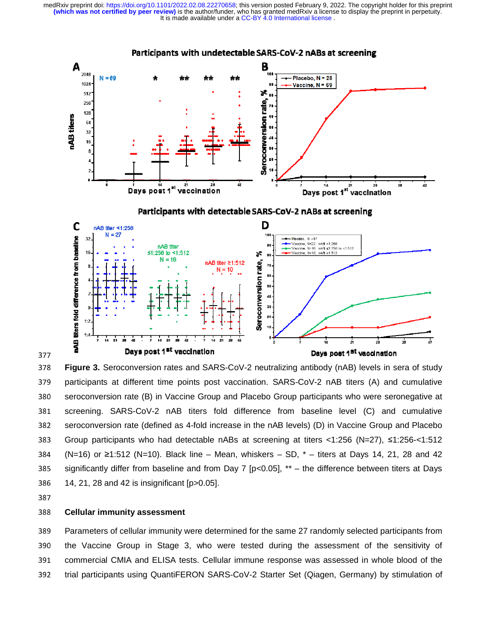It is made available under a CC-BY 4.0 International license. **(which was not certified by peer review)** is the author/funder, who has granted medRxiv a license to display the preprint in perpetuity. medRxiv preprint doi: [https://doi.org/10.1101/2022.02.08.22270658;](https://doi.org/10.1101/2022.02.08.22270658) this version posted February 9, 2022. The copyright holder for this preprint



377<br>378 378 **Figure 3.** Seroconversion rates and SARS-CoV-2 neutralizing antibody (nAB) levels in sera of study 379 participants at different time points post vaccination. SARS-CoV-2 nAB titers (A) and cumulative 380 seroconversion rate (B) in Vaccine Group and Placebo Group participants who were seronegative at 381 screening. SARS-CoV-2 nAB titers fold difference from baseline level (C) and cumulative 382 Seroconversion rate (defined as 4-fold increase in the nAB levels) (D) in Vaccine Group and Placebo 383 Group participants who had detectable nABs at screening at titers <1:256 (N=27), ≤1:256-<1:512<br>
2011 - 2012 - 2012 - 2013 - 2014 - 2015 - 2016 - 2017 - 2018 - 2019 - 2019 - 2019 - 2019 - 2019 - 2019 - 201 384 (N=16) or ≥1:512 (N=10). Black line – Mean, whiskers – SD, \* – titers at Days 14, 21, 28 and 42<br>and the manufacture of the state of the second the manufacture of the state of the state of the state of the s 385 significantly differ from baseline and from Day 7 [p<0.05],  $**$  – the difference between titers at Days 386 14, 21, 28 and 42 is insignificant [p>0.05].<br>387

#### 388 <sup>388</sup>**Cellular immunity assessment**

389 Parameters of cellular immunity were determined for the same 27 randomly selected participants from 390 the Vaccine Group in Stage 3, who were tested during the assessment of the sensitivity of 391 commercial CMIA and ELISA tests. Cellular immune response was assessed in whole blood of the 392 trial participants using QuantiFERON SARS-CoV-2 Starter Set (Qiagen, Germany) by stimulation of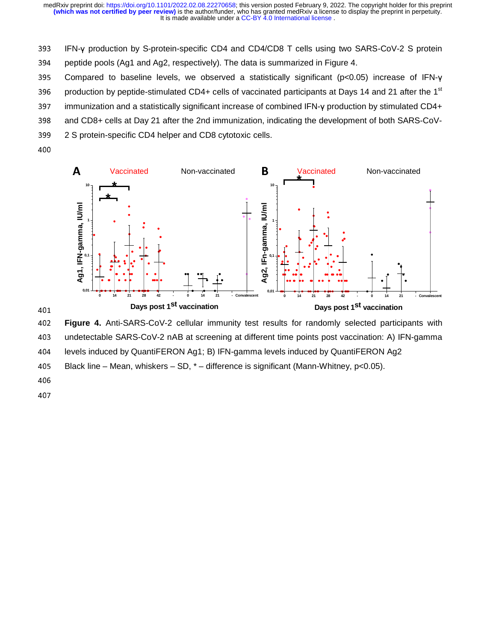393 IFN-γ production by S-protein-specific CD4 and CD4/CD8 T cells using two SARS-CoV-2 S protein<br>394 peptide pools (Aq1 and Aq2, respectively). The data is summarized in Figure 4.

394 peptide pools (Ag1 and Ag2, respectively). The data is summarized in Figure 4.<br>395 Compared to baseline levels, we observed a statistically significant (p<0.0).

395 Compared to baseline levels, we observed a statistically significant (p<0.05) increase of IFN-γ<br>396 production by peptide-stimulated CD4+ cells of vaccinated participants at Days 14 and 21 after the 1<sup>st</sup>

- 996 production by peptide-stimulated CD4+ cells of vaccinated participants at Days 14 and 21 after the 1<sup>st</sup> 397 immunization and a statistically significant increase of combined IFN-y production by stimulated CD4+
- 397 immunization and a statistically significant increase of combined IFN-γ production by stimulated CD4+<br>398 and CD8+ cells at Day 21 after the 2nd immunization, indicating the development of both SARS-CoV-
- 398 and CD8+ cells at Day 21 after the 2nd immunization, indicating the development of both SARS-CoV-<br>399 2 S protein-specific CD4 helper and CD8 cvtotoxic cells.
- 399 2 S protein-specific CD4 helper and CD8 cytotoxic cells.<br>400
- $\mathcal{L}$



401<br>402 <sup>402</sup>**Figure 4.** Anti-SARS-CoV-2 cellular immunity test results for randomly selected participants with 403 undetectable SARS-CoV-2 nAB at screening at different time points post vaccination: A) IFN-gamma<br>404 levels induced by QuantiFERON Ag1; B) IFN-gamma levels induced by QuantiFERON Ag2 404 levels induced by QuantiFERON Ag1; B) IFN-gamma levels induced by QuantiFERON Ag2<br>405 Black line – Mean, whiskers – SD, \* – difference is significant (Mann-Whitney, p<0.05).

405 Black line – Mean, whiskers – SD,  $*$  – difference is significant (Mann-Whitney, p<0.05).<br>406

- 406
- 407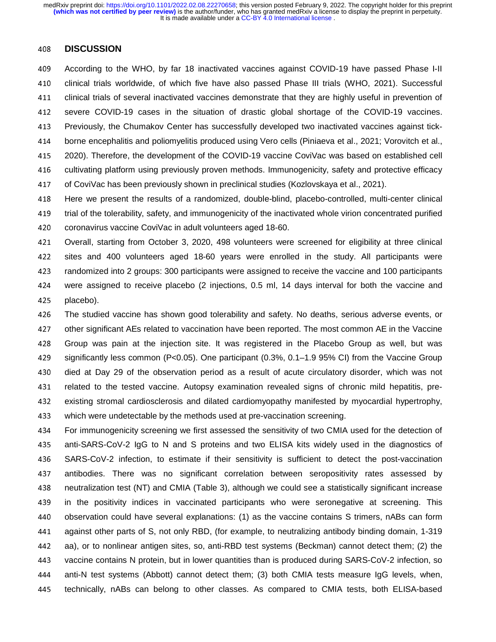#### <sup>408</sup>**DISCUSSION**

<sup>409</sup>According to the WHO, by far 18 inactivated vaccines against COVID-19 have passed Phase I-II 410 clinical trials worldwide, of which five have also passed Phase III trials (WHO, 2021). Successful<br>411 clinical trials of several inactivated vaccines demonstrate that they are highly useful in prevention of 411 clinical trials of several inactivated vaccines demonstrate that they are highly useful in prevention of<br>412 severe COVID-19 cases in the situation of drastic global shortage of the COVID-19 vaccines. 412 severe COVID-19 cases in the situation of drastic global shortage of the COVID-19 vaccines.<br>413 Previously, the Chumakov Center has successfully developed two inactivated vaccines against tick-413 Previously, the Chumakov Center has successfully developed two inactivated vaccines against tick-<br>414 U borne encephalitis and poliomyelitis produced using Vero cells (Piniaeva et al., 2021; Vorovitch et al 414 borne encephalitis and poliomyelitis produced using Vero cells (Piniaeva et al., 2021; Vorovitch et al.,<br>415 2020). Therefore, the development of the COVID-19 vaccine CoviVac was based on established cell 415 2020). Therefore, the development of the COVID-19 vaccine CoviVac was based on established cell<br>416 cultivating platform using previously proven methods. Immunogenicity, safety and protective efficacy 416 cultivating platform using previously proven methods. Immunogenicity, safety and protective efficacy<br>417 of CoviVac has been previously shown in preclinical studies (Kozlovskava et al., 2021). 417 of CoviVac has been previously shown in preclinical studies (Kozlovskaya et al., 2021).<br>418 Here we present the results of a randomized. double-blind. placebo-controlled. multi

418 Here we present the results of a randomized, double-blind, placebo-controlled, multi-center clinical<br>419 trial of the tolerability, safety, and immunogenicity of the inactivated whole virion concentrated purified 419 trial of the tolerability, safety, and immunogenicity of the inactivated whole virion concentrated purified<br>420 coronavirus vaccine CoviVac in adult volunteers aged 18-60. 420 coronavirus vaccine CoviVac in adult volunteers aged 18-60.<br>421 Overall. starting from October 3. 2020. 498 volunteers were

421 Overall, starting from October 3, 2020, 498 volunteers were screened for eligibility at three clinical<br>422 sites and 400 volunteers aged 18-60 vears were enrolled in the study. All participants were <sup>422</sup>sites and 400 volunteers aged 18-60 years were enrolled in the study. All participants were 423 randomized into 2 groups: 300 participants were assigned to receive the vaccine and 100 participants<br>424 vere assigned to receive placebo (2 injections, 0.5 ml, 14 days interval for both the vaccine and 424 were assigned to receive placebo (2 injections, 0.5 ml, 14 days interval for both the vaccine and 425 placebo). 425 placebo).<br>426 The studi

426 The studied vaccine has shown good tolerability and safety. No deaths, serious adverse events, or<br>427 other significant AEs related to vaccination have been reported. The most common AE in the Vaccine 427 other significant AEs related to vaccination have been reported. The most common AE in the Vaccine<br>428 Group was pain at the injection site. It was registered in the Placebo Group as well, but was 428 Group was pain at the injection site. It was registered in the Placebo Group as well, but was<br>429 significantly less common (P<0.05). One participant (0.3%, 0.1–1.9 95% CI) from the Vaccine Group 429 significantly less common (P<0.05). One participant (0.3%, 0.1–1.9 95% CI) from the Vaccine Group<br>430 died at Dav 29 of the observation period as a result of acute circulatory disorder. which was not 430 died at Day 29 of the observation period as a result of acute circulatory disorder, which was not<br>431 Frelated to the tested vaccine. Autopsy examination revealed signs of chronic mild hepatitis, pre-431 related to the tested vaccine. Autopsy examination revealed signs of chronic mild hepatitis, pre-<br>432 existing stromal cardiosclerosis and dilated cardiomyopathy manifested by myocardial hypertrophy, 432 existing stromal cardiosclerosis and dilated cardiomyopathy manifested by myocardial hypertrophy,<br>433 which were undetectable by the methods used at pre-vaccination screening. which were undetectable by the methods used at pre-vaccination screening.

434 For immunogenicity screening we first assessed the sensitivity of two CMIA used for the detection of<br>435 anti-SARS-CoV-2 IgG to N and S proteins and two ELISA kits widely used in the diagnostics of 435 anti-SARS-CoV-2 IgG to N and S proteins and two ELISA kits widely used in the diagnostics of<br>436 SARS-CoV-2 infection, to estimate if their sensitivity is sufficient to detect the post-vaccination 436 SARS-CoV-2 infection, to estimate if their sensitivity is sufficient to detect the post-vaccination<br>437 antibodies. There was no significant correlation between seropositivity rates assessed by 437 antibodies. There was no significant correlation between seropositivity rates assessed by<br>438 neutralization-test (NT) and CMIA (Table 3), although we-could-see-a-statistically-significant-increase 438 neutralization test (NT) and CMIA (Table 3), although we could see a statistically significant increase<br>439 in the positivity indices in vaccinated participants who were seronegative at screening. This 439 in the positivity indices in vaccinated participants who were seronegative at screening. This<br>440 observation could have several explanations: (1) as the vaccine contains S trimers, nABs can form 440 observation could have several explanations: (1) as the vaccine contains S trimers, nABs can form<br>441 against other parts of S, not only RBD, (for example, to neutralizing antibody binding domain, 1-319 441 against other parts of S, not only RBD, (for example, to neutralizing antibody binding domain, 1-319<br>442 aa), or to nonlinear antigen sites, so, anti-RBD test systems (Beckman) cannot detect them; (2) the 442 aa), or to nonlinear antigen sites, so, anti-RBD test systems (Beckman) cannot detect them; (2) the<br>443 vaccine contains N protein, but in lower quantities than is produced during SARS-CoV-2 infection, so vaccine contains N protein, but in lower quantities than is produced during SARS-CoV-2 infection, so<br>444 anti-N test systems (Abbott) cannot detect them; (3) both CMIA tests measure IgG levels, when, 444 anti-N test systems (Abbott) cannot detect them; (3) both CMIA tests measure IgG levels, when,<br>445 technically, nABs can belong to other classes. As compared to CMIA tests, both ELISA-based technically, nABs can belong to other classes. As compared to CMIA tests, both ELISA-based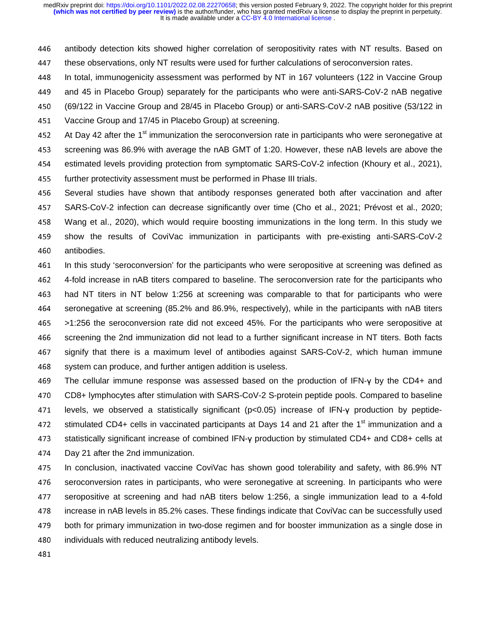446 antibody detection kits showed higher correlation of seropositivity rates with NT results. Based on<br>447 these observations, only NT results were used for further calculations of seroconversion rates.

447 these observations, only NT results were used for further calculations of seroconversion rates.<br>448 In total. immunogenicity assessment was performed by NT in 167 volunteers (122 in Vaccine 448 In total, immunogenicity assessment was performed by NT in 167 volunteers (122 in Vaccine Group<br>449 and 45 in Placebo Group) separately for the participants who were anti-SARS-CoV-2 nAB negative

449 and 45 in Placebo Group) separately for the participants who were anti-SARS-CoV-2 nAB negative<br>450 (69/122 in Vaccine Group and 28/45 in Placebo Group) or anti-SARS-CoV-2 nAB positive (53/122 in

450 (69/122 in Vaccine Group and 28/45 in Placebo Group) or anti-SARS-CoV-2 nAB positive (53/122 in<br>451 Vaccine Group and 17/45 in Placebo Group) at screening.

451 Vaccine Group and 17/45 in Placebo Group) at screening.<br>452 At Dav 42 after the 1<sup>st</sup> immunization the seroconversion ra

At Day 42 after the 1<sup>st</sup> immunization the seroconversion rate in participants who were seronegative at 453<br>453 Screening was 86.9% with average the nAB GMT of 1:20. However, these nAB levels are above the

453 screening was 86.9% with average the nAB GMT of 1:20. However, these nAB levels are above the<br>454 estimated levels providing protection from symptomatic SARS-CoV-2 infection (Khoury et al., 2021),

454 estimated levels providing protection from symptomatic SARS-CoV-2 infection (Khoury et al., 2021), 455 further protectivity assessment must be performed in Phase III trials.

455 further protectivity assessment must be performed in Phase III trials.<br>456 Several studies have shown that antibody responses generated

456 Several studies have shown that antibody responses generated both after vaccination and after<br>457 SARS-CoV-2 infection can decrease significantly over time (Cho et al., 2021: Prévost et al., 2020: 457 SARS-CoV-2 infection can decrease significantly over time (Cho et al., 2021; Prévost et al., 2020;<br>458 Wang et al., 2020), which would require boosting immunizations in the long term. In this study we 458 Wang et al., 2020), which would require boosting immunizations in the long term. In this study we<br>459 show the results of CoviVac immunization in participants with pre-existing anti-SARS-CoV-2 459 show the results of CoviVac immunization in participants with pre-existing anti-SARS-CoV-2<br>460 antibodies. 460 antibodies.<br>461 In this stud

461 In this study 'seroconversion' for the participants who were seropositive at screening was defined as<br>462 4-fold increase in nAB titers compared to baseline. The seroconversion rate for the participants who 462 4-fold increase in nAB titers compared to baseline. The seroconversion rate for the participants who were<br>463 had NT titers in NT below 1:256 at screening was comparable to that for participants who were 463 had NT titers in NT below 1:256 at screening was comparable to that for participants who were<br>464 seronegative at screening (85.2% and 86.9%, respectively), while in the participants with nAB titers 464 seronegative at screening (85.2% and 86.9%, respectively), while in the participants with nAB titers<br>465 >1:256 the seroconversion rate did not exceed 45%. For the participants who were seropositive at 165 >1:256 the seroconversion rate did not exceed 45%. For the participants who were seropositive at<br>466 screening the 2nd immunization did not lead to a further significant increase in NT titers. Both facts 466 screening the 2nd immunization did not lead to a further significant increase in NT titers. Both facts<br>467 signify that there is a maximum level of antibodies against SARS-CoV-2, which human immune 467 signify that there is a maximum level of antibodies against SARS-CoV-2, which human immune<br>468 system can produce, and further antigen addition is useless. 468 system can produce, and further antigen addition is useless.<br>469 The cellular immune response was assessed based on th

469 The cellular immune response was assessed based on the production of IFN-γ by the CD4+ and<br>470 CD8+ lymphocytes after stimulation with SARS-CoV-2 S-protein peptide pools. Compared to baseline 470 CD8+ lymphocytes after stimulation with SARS-CoV-2 S-protein peptide pools. Compared to baseline<br>471 Levels, we observed a statistically significant (p<0.05) increase of IFN-y production by peptide-471 levels, we observed a statistically significant (p<0.05) increase of IFN-γ production by peptide-<br>472 stimulated CD4+ cells in vaccinated participants at Days 14 and 21 after the 1<sup>st</sup> immunization and a stimulated CD4+ cells in vaccinated participants at Days 14 and 21 after the 1<sup>st</sup> immunization and a<br>473 statistically significant increase of combined IFN-y production by stimulated CD4+ and CD8+ cells at 473 statistically significant increase of combined IFN-γ production by stimulated CD4+ and CD8+ cells at 474 Day 21 after the 2nd immunization.

474 Day 21 after the 2nd immunization.<br>475 In conclusion, inactivated vaccine 475 In conclusion, inactivated vaccine CoviVac has shown good tolerability and safety, with 86.9% NT<br>476 Seroconversion rates in participants, who were seronegative at screening. In participants who were 476 seroconversion rates in participants, who were seronegative at screening. In participants who were<br>477 seropositive at screening and had nAB titers below 1:256. a single immunization lead to a 4-fold 477 seropositive at screening and had nAB titers below 1:256, a single immunization lead to a 4-fold<br>478 increase in nAB levels in 85.2% cases. These findings indicate that CoviVac can be successfully used 478 increase in nAB levels in 85.2% cases. These findings indicate that CoviVac can be successfully used<br>479 both for primary immunization in two-dose regimen and for booster immunization as a single dose in 479 both for primary immunization in two-dose regimen and for booster immunization as a single dose in<br>480 individuals with reduced neutralizing antibody levels. 480 individuals with reduced neutralizing antibody levels.<br>481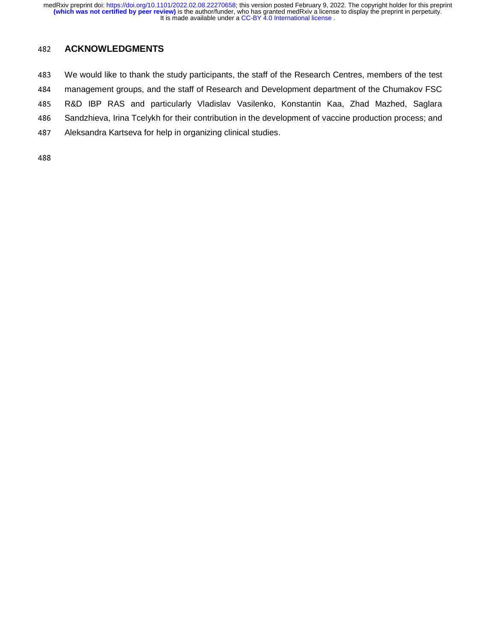## <sup>482</sup>**ACKNOWLEDGMENTS**

483 We would like to thank the study participants, the staff of the Research Centres, members of the test<br>484 management groups, and the staff of Research and Development department of the Chumakov FSC 484 management groups, and the staff of Research and Development department of the Chumakov FSC<br>485 R&D IBP RAS and particularly Vladislav Vasilenko, Konstantin Kaa, Zhad Mazhed, Saglara 485 R&D IBP RAS and particularly Vladislav Vasilenko, Konstantin Kaa, Zhad Mazhed, Saglara<br>486 Sandzhieva, Irina Tcelykh for their contribution in the development of vaccine production process; and 486 Sandzhieva, Irina Tcelykh for their contribution in the development of vaccine production process; and 487<br>487 Aleksandra Kartseva for help in organizing clinical studies. Aleksandra Kartseva for help in organizing clinical studies.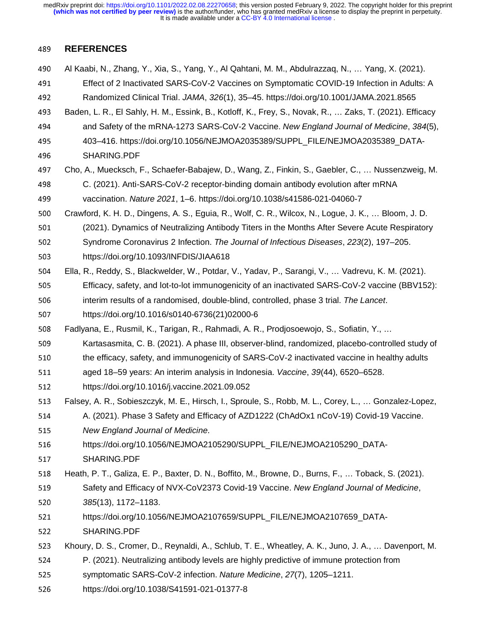## <sup>489</sup>**REFERENCES**

<sup>490</sup>Al Kaabi, N., Zhang, Y., Xia, S., Yang, Y., Al Qahtani, M. M., Abdulrazzaq, N., … Yang, X. (2021). 491 Effect of 2 Inactivated SARS-CoV-2 Vaccines on Symptomatic COVID-19 Infection in Adults: A<br>492 Randomized Clinical Trial. JAMA, 326(1), 35–45. https://doi.org/10.1001/JAMA.2021.8565 <sup>492</sup>Randomized Clinical Trial. *JAMA*, *326*(1), 35–45. https://doi.org/10.1001/JAMA.2021.8565 493 Baden, L. R., El Sahly, H. M., Essink, B., Kotloff, K., Frey, S., Novak, R., … Zaks, T. (2021). Efficacy<br>494 and Safety of the mRNA-1273 SARS-CoV-2 Vaccine. New England Journal of Medicine. 384(5). <sup>494</sup>and Safety of the mRNA-1273 SARS-CoV-2 Vaccine. *New England Journal of Medicine*, *384*(5), 495 403–416. https://doi.org/10.1056/NEJMOA2035389/SUPPL\_FILE/NEJMOA2035389\_DATA-<sup>496</sup>SHARING.PDF 497 Cho, A., Muecksch, F., Schaefer-Babajew, D., Wang, Z., Finkin, S., Gaebler, C., … Nussenzweig, M.<br>498 C. (2021). Anti-SARS-CoV-2 receptor-binding domain antibody evolution after mRNA 498 C. (2021). Anti-SARS-CoV-2 receptor-binding domain antibody evolution after mRNA<br>499 vaccination. Nature 2021. 1–6. https://doi.org/10.1038/s41586-021-04060-7 <sup>499</sup>vaccination. *Nature 2021*, 1–6. https://doi.org/10.1038/s41586-021-04060-7 500 Crawford, K. H. D., Dingens, A. S., Eguia, R., Wolf, C. R., Wilcox, N., Logue, J. K., ... Bloom, J. D.<br>501 (2021). Dynamics of Neutralizing Antibody Titers in the Months After Severe Acute Respirator 501 (2021). Dynamics of Neutralizing Antibody Titers in the Months After Severe Acute Respiratory<br>502 Syndrome Coronavirus 2 Infection. The Journal of Infectious Diseases. 223(2). 197–205. 502 Syndrome Coronavirus 2 Infection. *The Journal of Infectious Diseases*, 223(2), 197–205.<br>503 https://doi.org/10.1093/INFDIS/JIAA618 503 https://doi.org/10.1093/INFDIS/JIAA618<br>504 Ella, R., Reddy, S., Blackwelder, W., Potdar, <sup>504</sup>Ella, R., Reddy, S., Blackwelder, W., Potdar, V., Yadav, P., Sarangi, V., … Vadrevu, K. M. (2021). 505 Efficacy, safety, and lot-to-lot immunogenicity of an inactivated SARS-CoV-2 vaccine (BBV152):<br>506 interim results of a randomised. double-blind. controlled. phase 3 trial. The Lancet. 506 interim results of a randomised, double-blind, controlled, phase 3 trial. *The Lancet.*<br>507 https://doi.org/10.1016/s0140-6736(21)02000-6 507 https://doi.org/10.1016/s0140-6736(21)02000-6<br>508 Fadlyana, E., Rusmil, K., Tarigan, R., Rahmadi, A. R. 508 Fadlyana, E., Rusmil, K., Tarigan, R., Rahmadi, A. R., Prodjosoewojo, S., Sofiatin, Y., ...<br>509 Kartasasmita, C. B. (2021). A phase III, observer-blind, randomized, placebo-control 509 Kartasasmita, C. B. (2021). A phase III, observer-blind, randomized, placebo-controlled study of<br>510 the efficacy, safety, and immunogenicity of SARS-CoV-2 inactivated vaccine in healthy adults 510 the efficacy, safety, and immunogenicity of SARS-CoV-2 inactivated vaccine in healthy adults<br>511 aged 18–59 vears: An interim analysis in Indonesia. Vaccine. 39(44). 6520–6528. 511 aged 18–59 years: An interim analysis in Indonesia. *Vaccine*, *39*(44), 6520–6528.<br>512 https://doi.org/10.1016/j.vaccine.2021.09.052 512 https://doi.org/10.1016/j.vaccine.2021.09.052<br>513 Falsey, A. R., Sobieszczyk, M. E., Hirsch, I., Sprou 513 Falsey, A. R., Sobieszczyk, M. E., Hirsch, I., Sproule, S., Robb, M. L., Corey, L., … Gonzalez-Lopez,<br>514 A. (2021). Phase 3 Safety and Efficacy of AZD1222 (ChAdOx1 nCoV-19) Covid-19 Vaccine. 514 A. (2021). Phase 3 Safety and Efficacy of AZD1222 (ChAdOx1 nCoV-19) Covid-19 Vaccine.<br>515 New England Journal of Medicine. <sup>515</sup>*New England Journal of Medicine*. 516 https://doi.org/10.1056/NEJMOA2105290/SUPPL\_FILE/NEJMOA2105290\_DATA-517 SHARING.PDF<br>518 Heath. P. T.. Galiza. 518 Heath, P. T., Galiza, E. P., Baxter, D. N., Boffito, M., Browne, D., Burns, F., ... Toback, S. (2021).<br>519 Safety and Efficacy of NVX-CoV2373 Covid-19 Vaccine. New England Journal of Medicine. 519 Safety and Efficacy of NVX-CoV2373 Covid-19 Vaccine. *New England Journal of Medicine*,<br>520 385(13), 1172–1183. <sup>520</sup>*385*(13), 1172–1183. 521 https://doi.org/10.1056/NEJMOA2107659/SUPPL\_FILE/NEJMOA2107659\_DATA-522 SHARING.PDF<br>523 Khoury, D. S., Crome 523 Khoury, D. S., Cromer, D., Reynaldi, A., Schlub, T. E., Wheatley, A. K., Juno, J. A., ... Davenport, M.<br>524 P. (2021). Neutralizing antibody levels are highly predictive of immune protection from 524 P. (2021). Neutralizing antibody levels are highly predictive of immune protection from<br>525 symptomatic SARS-CoV-2 infection. Nature Medicine, 27(7), 1205–1211. 525 symptomatic SARS-CoV-2 infection. *Nature Medicine*, 27(7), 1205–1211.<br>526 https://doi.org/10.1038/S41591-021-01377-8 <sup>526</sup>https://doi.org/10.1038/S41591-021-01377-8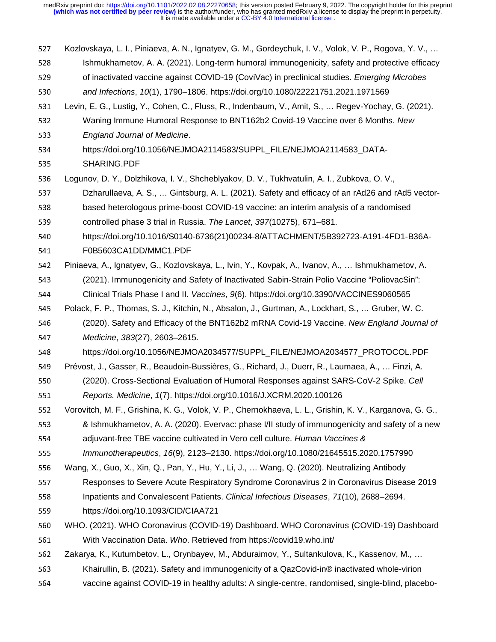527 Kozlovskaya, L. I., Piniaeva, A. N., Ignatyev, G. M., Gordeychuk, I. V., Volok, V. P., Rogova, Y. V., …<br>528 Sahamukhametov, A. A. (2021). Long-term humoral immunogenicity, safety and protective efficacy 528 Ishmukhametov, A. A. (2021). Long-term humoral immunogenicity, safety and protective efficacy<br>529 of inactivated vaccine against COVID-19 (CoviVac) in preclinical studies. *Emerging Microbes* 529 of inactivated vaccine against COVID-19 (CoviVac) in preclinical studies. *Emerging Microbes S30* and *Infections. 10*(1). 1790–1806. https://doi.org/10.1080/22221751.2021.1971569 <sup>530</sup>*and Infections*, *10*(1), 1790–1806. https://doi.org/10.1080/22221751.2021.1971569 531 Levin, E. G., Lustig, Y., Cohen, C., Fluss, R., Indenbaum, V., Amit, S., ... Regev-Yochay, G. (2021).<br>532 Vaning Immune Humoral Response to BNT162b2 Covid-19 Vaccine over 6 Months. New 532 Waning Immune Humoral Response to BNT162b2 Covid-19 Vaccine over 6 Months. *New 533* Enaland Journal of Medicine. <sup>533</sup>*England Journal of Medicine*. 534 https://doi.org/10.1056/NEJMOA2114583/SUPPL\_FILE/NEJMOA2114583\_DATA-535 SHARING.PDF<br>536 Logunov, D. Y., Dolz 536 Logunov, D. Y., Dolzhikova, I. V., Shcheblyakov, D. V., Tukhvatulin, A. I., Zubkova, O. V., 537 Dzharullaeva. A. S., ... Gintsburg. A. L. (2021). Safety and efficacy of an rAd26 and r 537 Dzharullaeva, A. S., ... Gintsburg, A. L. (2021). Safety and efficacy of an rAd26 and rAd5 vector-<br>538 based heterologous prime-boost COVID-19 vaccine: an interim analysis of a randomised 538 based heterologous prime-boost COVID-19 vaccine: an interim analysis of a randomised<br>539 controlled phase 3 trial in Russia. The Lancet, 397(10275), 671–681. 539 controlled phase 3 trial in Russia. *The Lancet*, *397*(10275), 671–681.<br>540 https://doi.org/10.1016/S0140-6736(21)00234-8/ATTACHMENT/5B39 540 https://doi.org/10.1016/S0140-6736(21)00234-8/ATTACHMENT/5B392723-A191-4FD1-B36A-541 F0B5603CA1DD/MMC1.PDF<br>542 Piniaeva. A.. Ignatvev. G.. Kozlovs 542 Piniaeva, A., Ignatyev, G., Kozlovskaya, L., Ivin, Y., Kovpak, A., Ivanov, A., … Ishmukhametov, A.<br>543 (2021). Immunogenicity and Safety of Inactivated Sabin-Strain Polio Vaccine "PoliovacSin": 543 (2021). Immunogenicity and Safety of Inactivated Sabin-Strain Polio Vaccine "PoliovacSin":<br>544 Clinical Trials Phase I and II. Vaccines, 9(6). https://doi.org/10.3390/VACCINES9060565 <sup>544</sup>Clinical Trials Phase I and II. *Vaccines*, *9*(6). https://doi.org/10.3390/VACCINES9060565 545 Polack, F. P., Thomas, S. J., Kitchin, N., Absalon, J., Gurtman, A., Lockhart, S., … Gruber, W. C.<br>546 (2020). Safety and Efficacy of the BNT162b2 mRNA Covid-19 Vaccine. New England Journa <sup>546</sup>(2020). Safety and Efficacy of the BNT162b2 mRNA Covid-19 Vaccine. *New England Journal of*  <sup>547</sup>*Medicine*, *383*(27), 2603–2615. 548 https://doi.org/10.1056/NEJMOA2034577/SUPPL\_FILE/NEJMOA2034577\_PROTOCOL.PDF<br>549 Prévost, J., Gasser, R., Beaudoin-Bussières, G., Richard, J., Duerr, R., Laumaea, A., ... Finzi, A. 549 Prévost, J., Gasser, R., Beaudoin-Bussières, G., Richard, J., Duerr, R., Laumaea, A., … Finzi, A.<br>550 (2020). Cross-Sectional Evaluation of Humoral Responses against SARS-CoV-2 Spike. Cell <sup>550</sup>(2020). Cross-Sectional Evaluation of Humoral Responses against SARS-CoV-2 Spike. *Cell*  <sup>551</sup>*Reports. Medicine*, *1*(7). https://doi.org/10.1016/J.XCRM.2020.100126 552 Vorovitch, M. F., Grishina, K. G., Volok, V. P., Chernokhaeva, L. L., Grishin, K. V., Karganova, G. G., St<br>553 8. Ishmukhametov, A. A. (2020). Evervac: phase I/II study of immunogenicity and safety of a new 553 8 Ishmukhametov, A. A. (2020). Evervac: phase I/II study of immunogenicity and safety of a new<br>554 adiuvant-free TBE vaccine cultivated in Vero cell culture. *Human Vaccines &* 554 adjuvant-free TBE vaccine cultivated in Vero cell culture. *Human Vaccines &* <br>555 *Immunotherapeutics*, 16(9), 2123–2130. https://doi.org/10.1080/21645515.20 <sup>555</sup>*Immunotherapeutics*, *16*(9), 2123–2130. https://doi.org/10.1080/21645515.2020.1757990 556 Wang, X., Guo, X., Xin, Q., Pan, Y., Hu, Y., Li, J., ... Wang, Q. (2020). Neutralizing Antibody<br>557 Responses to Severe Acute Respiratory Syndrome Coronavirus 2 in Coronavirus Diseas 557 Responses to Severe Acute Respiratory Syndrome Coronavirus 2 in Coronavirus Disease 2019<br>558 Inpatients and Convalescent Patients. Clinical Infectious Diseases. 71(10). 2688–2694. <sup>558</sup>Inpatients and Convalescent Patients. *Clinical Infectious Diseases*, *71*(10), 2688–2694. 559 https://doi.org/10.1093/CID/CIAA721<br>560 WHO. (2021). WHO Coronavirus (COVID-560 WHO. (2021). WHO Coronavirus (COVID-19) Dashboard. WHO Coronavirus (COVID-19) Dashboard<br>561 With Vaccination Data. Who. Retrieved from https://covid19.who.int/ 561 With Vaccination Data. Who. Retrieved from https://covid19.who.int/<br>562 Zakarya, K., Kutumbetov, L., Orynbayev, M., Abduraimov, Y., Sultankulov Zakarya, K., Kutumbetov, L., Orynbayev, M., Abduraimov, Y., Sultankulova, K., Kassenov, M., ... 563 Khairullin, B. (2021). Safety and immunogenicity of a QazCovid-in® inactivated whole-virion<br>564 vaccine against COVID-19 in healthy adults: A single-centre, randomised, single-blind, place vaccine against COVID-19 in healthy adults: A single-centre, randomised, single-blind, placebo-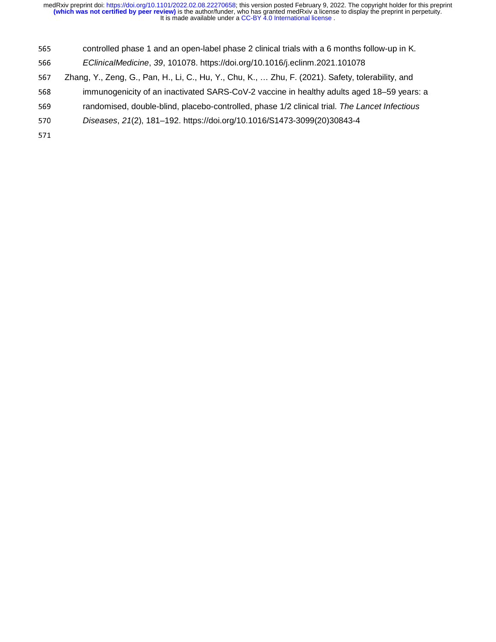- 565 controlled phase 1 and an open-label phase 2 clinical trials with a 6 months follow-up in K.<br>566 EClinicalMedicine, 39, 101078. https://doi.org/10.1016/j.eclinm.2021.101078
- <sup>566</sup>*EClinicalMedicine*, *39*, 101078. https://doi.org/10.1016/j.eclinm.2021.101078
- 567 Zhang, Y., Zeng, G., Pan, H., Li, C., Hu, Y., Chu, K., ... Zhu, F. (2021). Safety, tolerability, and<br>568 immunogenicity of an inactivated SARS-CoV-2 vaccine in healthy adults aged 18–59 years
- 568 immunogenicity of an inactivated SARS-CoV-2 vaccine in healthy adults aged 18–59 years: a<br>569 randomised, double-blind, placebo-controlled, phase 1/2 clinical trial. The Lancet Infectious
- 569 randomised, double-blind, placebo-controlled, phase 1/2 clinical trial. *The Lancet Infectious Diseases, 21*(2), 181–192. https://doi.org/10.1016/S1473-3099(20)30843-4
- <sup>570</sup>*Diseases*, *21*(2), 181–192. https://doi.org/10.1016/S1473-3099(20)30843-4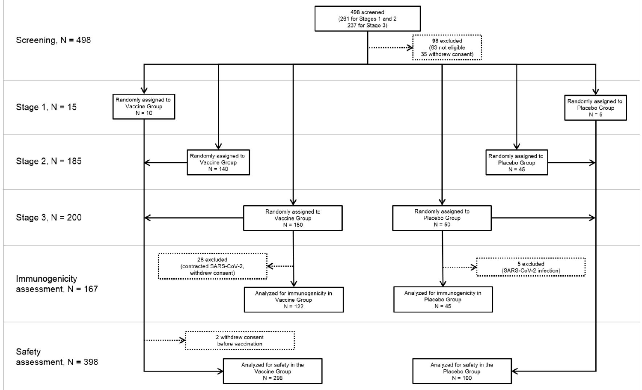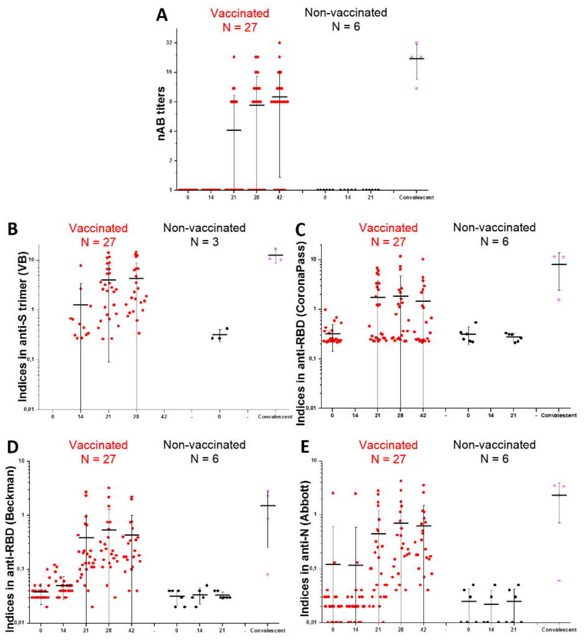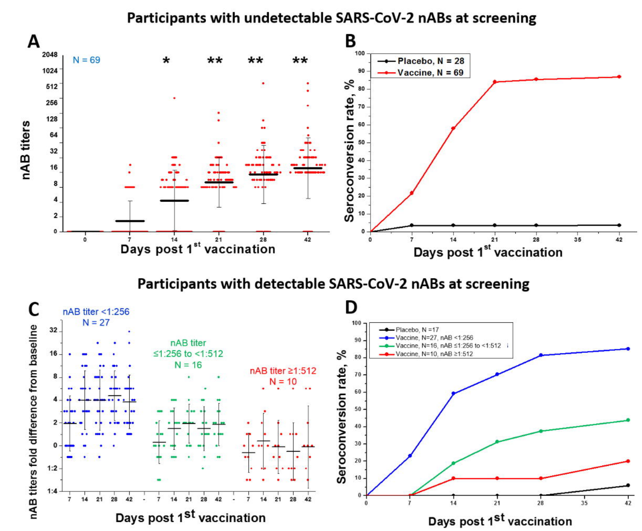#### Participants with undetectable SARS-CoV-2 nABs at screening



Participants with detectable SARS-CoV-2 nABs at screening